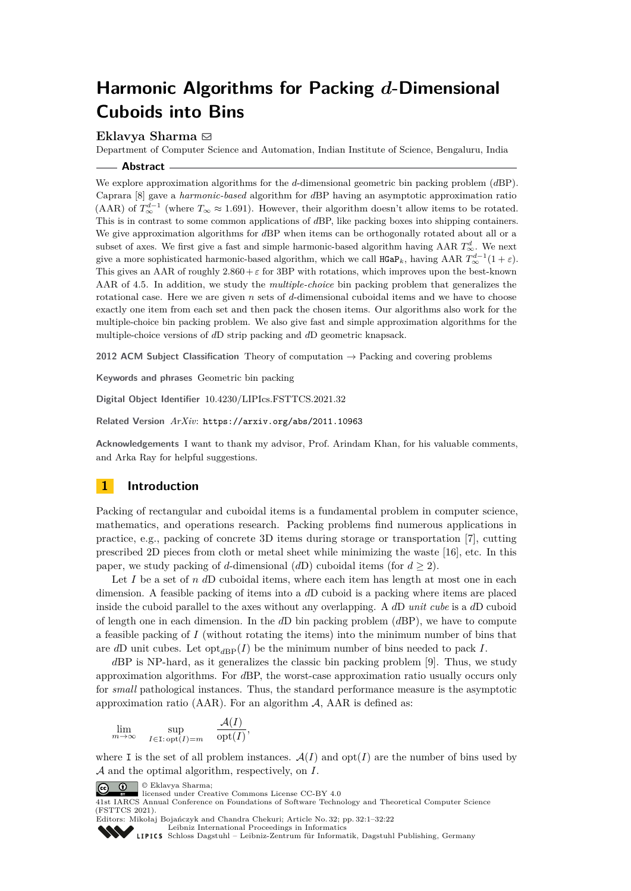# **Harmonic Algorithms for Packing** *d***-Dimensional Cuboids into Bins**

## **Eklavya Sharma** ⊠

Department of Computer Science and Automation, Indian Institute of Science, Bengaluru, India

#### **Abstract**

We explore approximation algorithms for the *d*-dimensional geometric bin packing problem (*d*BP). Caprara [\[8\]](#page-15-0) gave a *harmonic-based* algorithm for *d*BP having an asymptotic approximation ratio (AAR) of  $T_{\infty}^{d-1}$  (where  $T_{\infty} \approx 1.691$ ). However, their algorithm doesn't allow items to be rotated. This is in contrast to some common applications of *d*BP, like packing boxes into shipping containers. We give approximation algorithms for *d*BP when items can be orthogonally rotated about all or a subset of axes. We first give a fast and simple harmonic-based algorithm having AAR  $T_{\infty}^{d}$ . We next give a more sophisticated harmonic-based algorithm, which we call  $\texttt{HGaP}_k$ , having AAR  $T^{d-1}_{\infty}(1+\varepsilon)$ . This gives an AAR of roughly  $2.860 + \varepsilon$  for 3BP with rotations, which improves upon the best-known AAR of 4*.*5. In addition, we study the *multiple-choice* bin packing problem that generalizes the rotational case. Here we are given *n* sets of *d*-dimensional cuboidal items and we have to choose exactly one item from each set and then pack the chosen items. Our algorithms also work for the multiple-choice bin packing problem. We also give fast and simple approximation algorithms for the multiple-choice versions of *d*D strip packing and *d*D geometric knapsack.

**2012 ACM Subject Classification** Theory of computation → Packing and covering problems

**Keywords and phrases** Geometric bin packing

**Digital Object Identifier** [10.4230/LIPIcs.FSTTCS.2021.32](https://doi.org/10.4230/LIPIcs.FSTTCS.2021.32)

**Related Version** *ArXiv*: <https://arxiv.org/abs/2011.10963>

**Acknowledgements** I want to thank my advisor, Prof. Arindam Khan, for his valuable comments, and Arka Ray for helpful suggestions.

## **1 Introduction**

Packing of rectangular and cuboidal items is a fundamental problem in computer science, mathematics, and operations research. Packing problems find numerous applications in practice, e.g., packing of concrete 3D items during storage or transportation [\[7\]](#page-15-1), cutting prescribed 2D pieces from cloth or metal sheet while minimizing the waste [\[16\]](#page-15-2), etc. In this paper, we study packing of *d*-dimensional  $(dD)$  cuboidal items (for  $d \geq 2$ ).

Let *I* be a set of *n* dD cuboidal items, where each item has length at most one in each dimension. A feasible packing of items into a *d*D cuboid is a packing where items are placed inside the cuboid parallel to the axes without any overlapping. A *d*D *unit cube* is a *d*D cuboid of length one in each dimension. In the *d*D bin packing problem (*d*BP), we have to compute a feasible packing of *I* (without rotating the items) into the minimum number of bins that are *d*D unit cubes. Let  $opt_{dBP}(I)$  be the minimum number of bins needed to pack *I*.

*d*BP is NP-hard, as it generalizes the classic bin packing problem [\[9\]](#page-15-3). Thus, we study approximation algorithms. For *d*BP, the worst-case approximation ratio usually occurs only for *small* pathological instances. Thus, the standard performance measure is the asymptotic approximation ratio (AAR). For an algorithm  $A$ , AAR is defined as:

$$
\lim_{m \to \infty} \quad \sup_{I \in \mathcal{I}: \text{ opt}(I) = m} \quad \frac{\mathcal{A}(I)}{\text{opt}(I)},
$$

where I is the set of all problem instances.  $\mathcal{A}(I)$  and  $opt(I)$  are the number of bins used by A and the optimal algorithm, respectively, on *I*.

© Eklavya Sharma;



<sup>41</sup>st IARCS Annual Conference on Foundations of Software Technology and Theoretical Computer Science (FSTTCS 2021).

Editors: Mikołaj Bojańczyk and Chandra Chekuri; Article No. 32; pp. 32:1–32:22 [Leibniz International Proceedings in Informatics](https://www.dagstuhl.de/lipics/)

[Schloss Dagstuhl – Leibniz-Zentrum für Informatik, Dagstuhl Publishing, Germany](https://www.dagstuhl.de)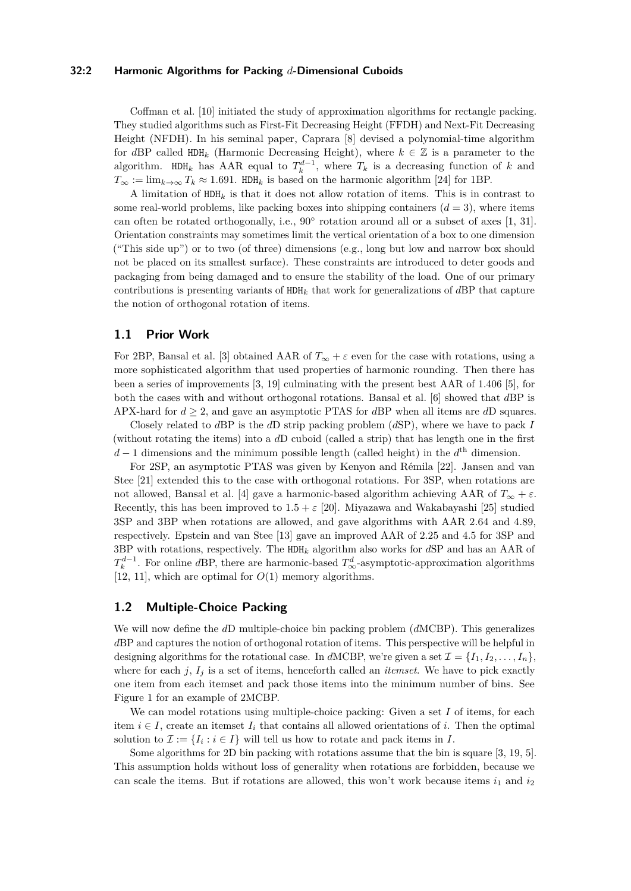#### **32:2 Harmonic Algorithms for Packing** *d***-Dimensional Cuboids**

Coffman et al. [\[10\]](#page-15-4) initiated the study of approximation algorithms for rectangle packing. They studied algorithms such as First-Fit Decreasing Height (FFDH) and Next-Fit Decreasing Height (NFDH). In his seminal paper, Caprara [\[8\]](#page-15-0) devised a polynomial-time algorithm for *d*BP called  $HDH_k$  (Harmonic Decreasing Height), where  $k \in \mathbb{Z}$  is a parameter to the algorithm. HDH<sub>k</sub> has AAR equal to  $T_k^{d-1}$ , where  $T_k$  is a decreasing function of k and  $T_{\infty} := \lim_{k \to \infty} T_k \approx 1.691$ . HDH<sub>k</sub> is based on the harmonic algorithm [\[24\]](#page-16-0) for 1BP.

A limitation of HDH*<sup>k</sup>* is that it does not allow rotation of items. This is in contrast to some real-world problems, like packing boxes into shipping containers  $(d = 3)$ , where items can often be rotated orthogonally, i.e., 90° rotation around all or a subset of axes [\[1,](#page-15-5) [31\]](#page-16-1). Orientation constraints may sometimes limit the vertical orientation of a box to one dimension ("This side up") or to two (of three) dimensions (e.g., long but low and narrow box should not be placed on its smallest surface). These constraints are introduced to deter goods and packaging from being damaged and to ensure the stability of the load. One of our primary contributions is presenting variants of HDH*<sup>k</sup>* that work for generalizations of *d*BP that capture the notion of orthogonal rotation of items.

## **1.1 Prior Work**

For 2BP, Bansal et al. [\[3\]](#page-15-6) obtained AAR of  $T_\infty + \varepsilon$  even for the case with rotations, using a more sophisticated algorithm that used properties of harmonic rounding. Then there has been a series of improvements [\[3,](#page-15-6) [19\]](#page-15-7) culminating with the present best AAR of 1.406 [\[5\]](#page-15-8), for both the cases with and without orthogonal rotations. Bansal et al. [\[6\]](#page-15-9) showed that *d*BP is APX-hard for  $d \geq 2$ , and gave an asymptotic PTAS for *dBP* when all items are *dD* squares.

Closely related to *d*BP is the *d*D strip packing problem (*d*SP), where we have to pack *I* (without rotating the items) into a *d*D cuboid (called a strip) that has length one in the first  $d-1$  dimensions and the minimum possible length (called height) in the  $d<sup>th</sup>$  dimension.

For 2SP, an asymptotic PTAS was given by Kenyon and Rémila [\[22\]](#page-16-2). Jansen and van Stee [\[21\]](#page-16-3) extended this to the case with orthogonal rotations. For 3SP, when rotations are not allowed, Bansal et al. [\[4\]](#page-15-10) gave a harmonic-based algorithm achieving AAR of  $T_{\infty} + \varepsilon$ . Recently, this has been improved to  $1.5 + \varepsilon$  [\[20\]](#page-16-4). Miyazawa and Wakabayashi [\[25\]](#page-16-5) studied 3SP and 3BP when rotations are allowed, and gave algorithms with AAR 2.64 and 4.89, respectively. Epstein and van Stee [\[13\]](#page-15-11) gave an improved AAR of 2.25 and 4.5 for 3SP and 3BP with rotations, respectively. The HDH*<sup>k</sup>* algorithm also works for *d*SP and has an AAR of  $T_k^{d-1}$ . For online *d*BP, there are harmonic-based  $T_{\infty}^d$ -asymptotic-approximation algorithms [\[12,](#page-15-12) [11\]](#page-15-13), which are optimal for *O*(1) memory algorithms.

#### **1.2 Multiple-Choice Packing**

We will now define the *d*D multiple-choice bin packing problem (*d*MCBP). This generalizes *d*BP and captures the notion of orthogonal rotation of items. This perspective will be helpful in designing algorithms for the rotational case. In *dMCBP*, we're given a set  $\mathcal{I} = \{I_1, I_2, \ldots, I_n\}$ , where for each  $j$ ,  $I_j$  is a set of items, henceforth called an *itemset*. We have to pick exactly one item from each itemset and pack those items into the minimum number of bins. See Figure [1](#page-2-0) for an example of 2MCBP.

We can model rotations using multiple-choice packing: Given a set *I* of items, for each item  $i \in I$ , create an itemset  $I_i$  that contains all allowed orientations of *i*. Then the optimal solution to  $\mathcal{I} := \{I_i : i \in I\}$  will tell us how to rotate and pack items in *I*.

Some algorithms for 2D bin packing with rotations assume that the bin is square [\[3,](#page-15-6) [19,](#page-15-7) [5\]](#page-15-8). This assumption holds without loss of generality when rotations are forbidden, because we can scale the items. But if rotations are allowed, this won't work because items  $i_1$  and  $i_2$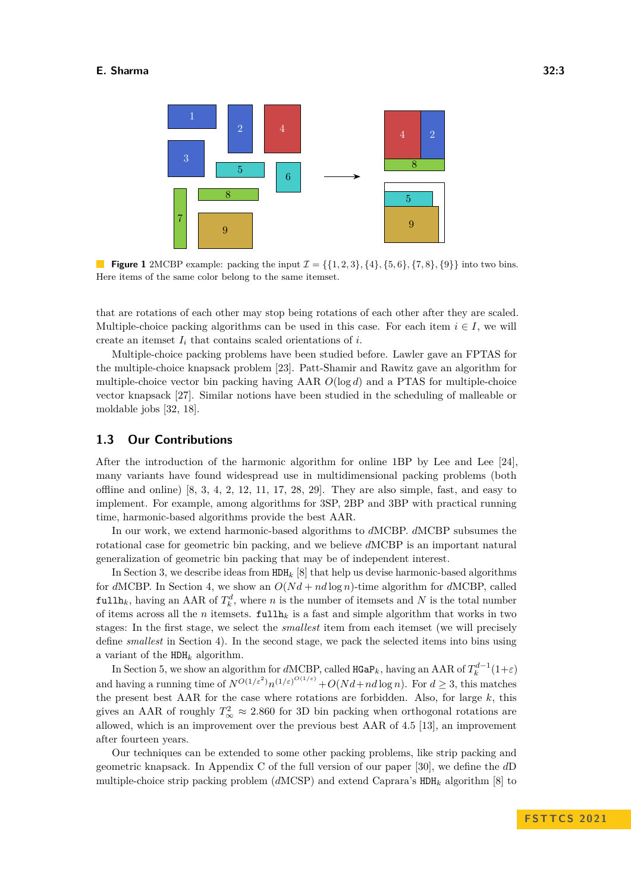<span id="page-2-0"></span>

**Figure 1** 2MCBP example: packing the input  $\mathcal{I} = \{\{1, 2, 3\}, \{4\}, \{5, 6\}, \{7, 8\}, \{9\}\}\$  into two bins. Here items of the same color belong to the same itemset.

that are rotations of each other may stop being rotations of each other after they are scaled. Multiple-choice packing algorithms can be used in this case. For each item  $i \in I$ , we will create an itemset  $I_i$  that contains scaled orientations of  $i$ .

Multiple-choice packing problems have been studied before. Lawler gave an FPTAS for the multiple-choice knapsack problem [\[23\]](#page-16-6). Patt-Shamir and Rawitz gave an algorithm for multiple-choice vector bin packing having AAR *O*(log *d*) and a PTAS for multiple-choice vector knapsack [\[27\]](#page-16-7). Similar notions have been studied in the scheduling of malleable or moldable jobs [\[32,](#page-16-8) [18\]](#page-15-14).

## **1.3 Our Contributions**

After the introduction of the harmonic algorithm for online 1BP by Lee and Lee [\[24\]](#page-16-0), many variants have found widespread use in multidimensional packing problems (both offline and online)  $[8, 3, 4, 2, 12, 11, 17, 28, 29]$  $[8, 3, 4, 2, 12, 11, 17, 28, 29]$  $[8, 3, 4, 2, 12, 11, 17, 28, 29]$  $[8, 3, 4, 2, 12, 11, 17, 28, 29]$  $[8, 3, 4, 2, 12, 11, 17, 28, 29]$  $[8, 3, 4, 2, 12, 11, 17, 28, 29]$  $[8, 3, 4, 2, 12, 11, 17, 28, 29]$  $[8, 3, 4, 2, 12, 11, 17, 28, 29]$  $[8, 3, 4, 2, 12, 11, 17, 28, 29]$  $[8, 3, 4, 2, 12, 11, 17, 28, 29]$  $[8, 3, 4, 2, 12, 11, 17, 28, 29]$  $[8, 3, 4, 2, 12, 11, 17, 28, 29]$  $[8, 3, 4, 2, 12, 11, 17, 28, 29]$  $[8, 3, 4, 2, 12, 11, 17, 28, 29]$  $[8, 3, 4, 2, 12, 11, 17, 28, 29]$  $[8, 3, 4, 2, 12, 11, 17, 28, 29]$  $[8, 3, 4, 2, 12, 11, 17, 28, 29]$ . They are also simple, fast, and easy to implement. For example, among algorithms for 3SP, 2BP and 3BP with practical running time, harmonic-based algorithms provide the best AAR.

In our work, we extend harmonic-based algorithms to *d*MCBP. *d*MCBP subsumes the rotational case for geometric bin packing, and we believe *d*MCBP is an important natural generalization of geometric bin packing that may be of independent interest.

In Section [3,](#page-3-0) we describe ideas from HDH*<sup>k</sup>* [\[8\]](#page-15-0) that help us devise harmonic-based algorithms for *dMCBP*. In Section [4,](#page-5-0) we show an  $O(Nd + nd \log n)$ -time algorithm for *dMCBP*, called  $\texttt{fullh}_k$ , having an AAR of  $T_k^d$ , where *n* is the number of itemsets and *N* is the total number of items across all the *n* itemsets.  $\text{fullh}_k$  is a fast and simple algorithm that works in two stages: In the first stage, we select the *smallest* item from each itemset (we will precisely define *smallest* in Section [4\)](#page-5-0). In the second stage, we pack the selected items into bins using a variant of the HDH*<sup>k</sup>* algorithm.

In Section [5,](#page-6-0) we show an algorithm for *dMCBP*, called  $HGaP_k$ , having an AAR of  $T_k^{d-1}(1+\varepsilon)$ and having a running time of  $N^{O(1/\varepsilon^2)}n^{(1/\varepsilon)^{O(1/\varepsilon)}}+O(Nd+nd\log n)$ . For  $d\geq 3$ , this matches the present best AAR for the case where rotations are forbidden. Also, for large  $k$ , this gives an AAR of roughly  $T_{\infty}^2 \approx 2.860$  for 3D bin packing when orthogonal rotations are allowed, which is an improvement over the previous best AAR of 4*.*5 [\[13\]](#page-15-11), an improvement after fourteen years.

Our techniques can be extended to some other packing problems, like strip packing and geometric knapsack. In Appendix C of the full version of our paper [\[30\]](#page-16-11), we define the *d*D multiple-choice strip packing problem (*d*MCSP) and extend Caprara's HDH*<sup>k</sup>* algorithm [\[8\]](#page-15-0) to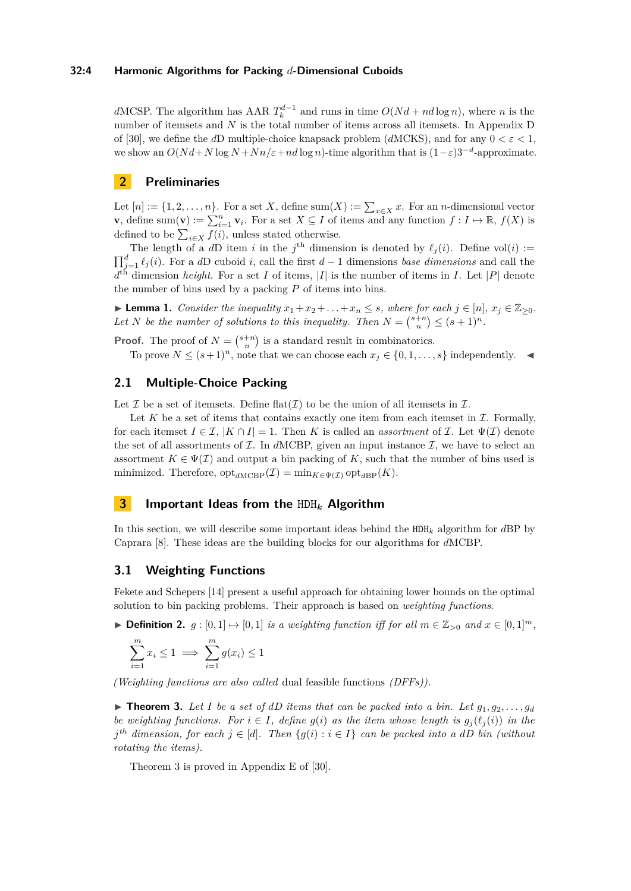*d*MCSP. The algorithm has AAR  $T_k^{d-1}$  and runs in time  $O(Nd + nd \log n)$ , where *n* is the number of itemsets and *N* is the total number of items across all itemsets. In Appendix D of [\[30\]](#page-16-11), we define the *d*D multiple-choice knapsack problem (*d*MCKS), and for any 0 *< ε <* 1, we show an  $O(Nd+N \log N + Nn/\varepsilon + nd \log n)$ -time algorithm that is  $(1-\varepsilon)3^{-d}$ -approximate.

## **2 Preliminaries**

Let  $[n] := \{1, 2, \ldots, n\}$ . For a set *X*, define sum $(X) := \sum_{x \in X} x$ . For an *n*-dimensional vector **v**, define sum(**v**) :=  $\sum_{i=1}^{n}$ **v**<sub>*i*</sub>. For a set  $X \subseteq I$  of items and any function  $f: I \mapsto \mathbb{R}$ ,  $f(X)$  is defined to be  $\sum_{i \in X} f(i)$ , unless stated otherwise.

The length of a *dD* item *i* in the  $j^{\text{th}}$  dimension is denoted by  $\ell_j(i)$ . Define vol(*i*) :=  $\prod_{j=1}^{d} \ell_j(i)$ . For a *d*D cuboid *i*, call the first *d* − 1 dimensions *base dimensions* and call the  $d<sup>th</sup>$  dimension *height*. For a set *I* of items, |*I*| is the number of items in *I*. Let |*P*| denote the number of bins used by a packing *P* of items into bins.

<span id="page-3-2"></span>▶ **Lemma 1.** *Consider the inequality*  $x_1 + x_2 + \ldots + x_n \leq s$ *, where for each*  $j \in [n]$ *,*  $x_j \in \mathbb{Z}_{\geq 0}$ *.* Let *N* be the number of solutions to this inequality. Then  $N = \binom{s+n}{n} \leq (s+1)^n$ .

**Proof.** The proof of  $N = \binom{s+n}{n}$  is a standard result in combinatorics.

To prove  $N \leq (s+1)^n$ , note that we can choose each  $x_i \in \{0, 1, \ldots, s\}$  independently.

## **2.1 Multiple-Choice Packing**

Let  $\mathcal I$  be a set of itemsets. Define flat $(\mathcal I)$  to be the union of all itemsets in  $\mathcal I$ .

Let  $K$  be a set of items that contains exactly one item from each itemset in  $\mathcal I$ . Formally, for each itemset  $I \in \mathcal{I}, |K \cap I| = 1$ . Then *K* is called an *assortment* of *I*. Let  $\Psi(\mathcal{I})$  denote the set of all assortments of  $I$ . In  $d$ MCBP, given an input instance  $I$ , we have to select an assortment  $K \in \Psi(\mathcal{I})$  and output a bin packing of K, such that the number of bins used is minimized. Therefore,  $\mathrm{opt}_{d\mathrm{MCBP}}(\mathcal{I}) = \min_{K \in \Psi(\mathcal{I})} \mathrm{opt}_{d\mathrm{BP}}(K)$ .

## <span id="page-3-0"></span>**3 Important Ideas from the** HDH*<sup>k</sup>* **Algorithm**

In this section, we will describe some important ideas behind the HDH*<sup>k</sup>* algorithm for *d*BP by Caprara [\[8\]](#page-15-0). These ideas are the building blocks for our algorithms for *d*MCBP.

## **3.1 Weighting Functions**

Fekete and Schepers [\[14\]](#page-15-17) present a useful approach for obtaining lower bounds on the optimal solution to bin packing problems. Their approach is based on *weighting functions*.

▶ **Definition 2.**  $g : [0,1] \mapsto [0,1]$  *is a weighting function iff for all*  $m \in \mathbb{Z}_{>0}$  *and*  $x \in [0,1]^m$ *,* 

$$
\sum_{i=1}^{m} x_i \le 1 \implies \sum_{i=1}^{m} g(x_i) \le 1
$$

*(Weighting functions are also called* dual feasible functions *(DFFs)).*

<span id="page-3-1"></span> $\blacktriangleright$  **Theorem 3.** Let I be a set of dD items that can be packed into a bin. Let  $g_1, g_2, \ldots, g_d$ *be weighting functions. For*  $i \in I$ *, define*  $g(i)$  *as the item whose length is*  $g_i(\ell_i(i))$  *in the*  $j<sup>th</sup>$  *dimension, for each*  $j \in [d]$ *. Then*  $\{g(i) : i \in I\}$  *can be packed into a dD bin (without rotating the items).*

Theorem [3](#page-3-1) is proved in Appendix E of [\[30\]](#page-16-11).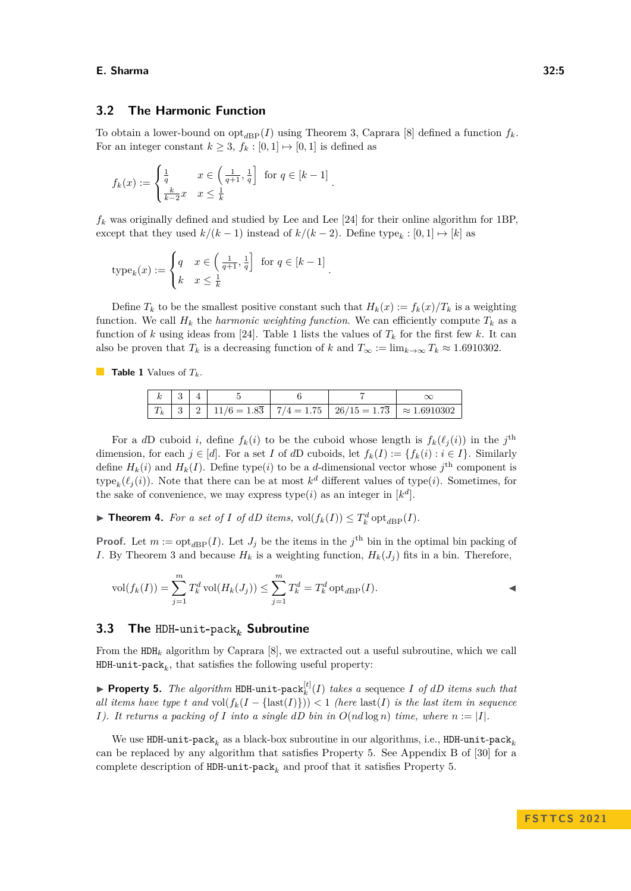## <span id="page-4-2"></span>**3.2 The Harmonic Function**

To obtain a lower-bound on  $opt_{dBP}(I)$  using Theorem [3,](#page-3-1) Caprara [\[8\]](#page-15-0) defined a function  $f_k$ . For an integer constant  $k \geq 3$ ,  $f_k : [0,1] \mapsto [0,1]$  is defined as

$$
f_k(x) := \begin{cases} \frac{1}{q} & x \in \left(\frac{1}{q+1}, \frac{1}{q}\right] \text{ for } q \in [k-1] \\ \frac{k}{k-2}x & x \leq \frac{1}{k} \end{cases}
$$

 $f_k$  was originally defined and studied by Lee and Lee  $[24]$  for their online algorithm for 1BP, except that they used  $k/(k-1)$  instead of  $k/(k-2)$ . Define type<sub>k</sub>: [0, 1]  $\mapsto$  [k] as

$$
type_k(x) := \begin{cases} q & x \in \left(\frac{1}{q+1}, \frac{1}{q}\right] \text{ for } q \in [k-1] \\ k & x \le \frac{1}{k} \end{cases}.
$$

Define  $T_k$  to be the smallest positive constant such that  $H_k(x) := f_k(x)/T_k$  is a weighting function. We call  $H_k$  the *harmonic weighting function*. We can efficiently compute  $T_k$  as a function of *k* using ideas from [\[24\]](#page-16-0). Table [1](#page-4-0) lists the values of  $T_k$  for the first few *k*. It can also be proven that  $T_k$  is a decreasing function of *k* and  $T_\infty := \lim_{k \to \infty} T_k \approx 1.6910302$ .

<span id="page-4-0"></span>**Table 1** Values of *Tk*.

|  |  | $T_k$   3   2   11/6 = 1.83   7/4 = 1.75   26/15 = 1.73   $\approx$ 1.6910302 |  |
|--|--|-------------------------------------------------------------------------------|--|

For a *dD* cuboid *i*, define  $f_k(i)$  to be the cuboid whose length is  $f_k(\ell_j(i))$  in the  $j^{\text{th}}$ dimension, for each  $j \in [d]$ . For a set *I* of *d*D cuboids, let  $f_k(I) := \{f_k(i) : i \in I\}$ . Similarly define  $H_k(i)$  and  $H_k(I)$ . Define type(*i*) to be a *d*-dimensional vector whose  $j^{\text{th}}$  component is type<sub>k</sub> $(\ell_j(i))$ . Note that there can be at most  $k^d$  different values of type $(i)$ . Sometimes, for the sake of convenience, we may express type(*i*) as an integer in  $[k^d]$ .

<span id="page-4-4"></span>▶ **Theorem 4.** For a set of *I* of dD items,  $vol(f_k(I)) \leq T_k^d \cdot opt_{dBP}(I)$ .

**Proof.** Let  $m := \text{opt}_{dBP}(I)$ . Let  $J_j$  be the items in the  $j^{\text{th}}$  bin in the optimal bin packing of *I*. By Theorem [3](#page-3-1) and because  $H_k$  is a weighting function,  $H_k(J_j)$  fits in a bin. Therefore,

$$
\text{vol}(f_k(I)) = \sum_{j=1}^m T_k^d \text{vol}(H_k(J_j)) \le \sum_{j=1}^m T_k^d = T_k^d \text{ opt}_{d\text{BP}}(I).
$$

## <span id="page-4-3"></span>**3.3 The** HDH**-**unit**-**pack*<sup>k</sup>* **Subroutine**

From the  $HDE_k$  algorithm by Caprara [\[8\]](#page-15-0), we extracted out a useful subroutine, which we call  $\texttt{HDH-unit-pack}_k,$  that satisfies the following useful property:

<span id="page-4-1"></span> $\blacktriangleright$  **Property 5.** The algorithm HDH-unit-pack  $k_k^{[t]}(I)$  takes a sequence *I* of *dD* items such that *all items have type t and* vol $(f_k(I - \{\text{last}(I)\})) < 1$  *(here* last(*I*) *is the last item in sequence I*). It returns a packing of *I* into a single dD bin in  $O(nd \log n)$  time, where  $n := |I|$ .

We use  ${\tt HDH-unit-pack}_k$  as a black-box subroutine in our algorithms, i.e.,  ${\tt HDH-unit-pack}_k$ can be replaced by any algorithm that satisfies Property [5.](#page-4-1) See Appendix B of [\[30\]](#page-16-11) for a complete description of  ${\tt HDH-unit-pack}_k$  and proof that it satisfies Property [5.](#page-4-1)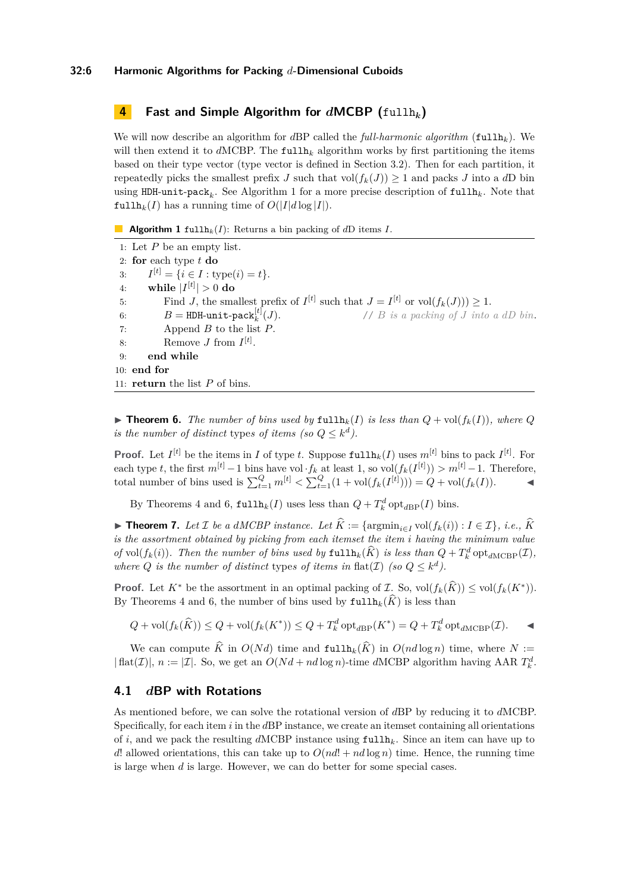#### **32:6 Harmonic Algorithms for Packing** *d***-Dimensional Cuboids**

## <span id="page-5-0"></span>**4 Fast and Simple Algorithm for** *d***MCBP (**fullh*k***)**

We will now describe an algorithm for *d*BP called the *full-harmonic algorithm* (fullh*k*). We will then extend it to *dMCBP*. The fullh<sub>k</sub> algorithm works by first partitioning the items based on their type vector (type vector is defined in Section [3.2\)](#page-4-2). Then for each partition, it repeatedly picks the smallest prefix *J* such that  $vol(f_k(J)) \geq 1$  and packs *J* into a *dD* bin using HDH-unit-pack*<sup>k</sup>* . See Algorithm [1](#page-5-1) for a more precise description of fullh*k*. Note that fullh<sub>k</sub> $(I)$  has a running time of  $O(|I|d \log |I|)$ .

<span id="page-5-1"></span>**Algorithm 1** fullh<sub>*k</sub>*(*I*): Returns a bin packing of *d*D items *I*.</sub>

1: Let *P* be an empty list. 2: **for** each type *t* **do** 3: *I*  $I^{[t]} = \{i \in I : \text{type}(i) = t\}.$  $4:$  while  $|I^{[t]}| > 0$  do 5: Find *J*, the smallest prefix of  $I^{[t]}$  such that  $J = I^{[t]}$  or  $vol(f_k(J)) \geq 1$ . 6:  $B = \text{HDH-unit-pack}_k^{[t]}$  $B = \text{HDH-unit-pack}_k^{[t]}$  $B = \text{HDH-unit-pack}_k^{[t]}$ (*J*). // *B is a packing of J into a dD bin*. 7: Append *B* to the list *P*. 8: Remove *J* from  $I^{[t]}$ . 9: **end while** 10: **end for** 11: **return** the list *P* of bins.

<span id="page-5-2"></span> $\blacktriangleright$  **Theorem 6.** The number of bins used by  $\text{fullh}_k(I)$  is less than  $Q + \text{vol}(f_k(I))$ , where  $Q$ *is the number of distinct types of items (so*  $Q \leq k^d$ *).* 

**Proof.** Let  $I^{[t]}$  be the items in *I* of type *t*. Suppose  $\text{fullh}_k(I)$  uses  $m^{[t]}$  bins to pack  $I^{[t]}$ . For each type *t*, the first  $m^{[t]} - 1$  bins have vol  $\cdot f_k$  at least 1, so  $\text{vol}(f_k(I^{[t]})) > m^{[t]} - 1$ . Therefore, total number of bins used is  $\sum_{t=1}^{Q} m^{[t]} < \sum_{t=1}^{Q} (1 + \text{vol}(f_k(I^{[t]}))) = Q + \text{vol}(f_k(I)).$ 

By Theorems [4](#page-4-4) and [6,](#page-5-2)  $\text{fullh}_k(I)$  uses less than  $Q + T_k^d \text{ opt}_{dBP}(I)$  bins.

▶ **Theorem 7.** Let *I* be a dMCBP instance. Let  $\widehat{K} := \{ \operatorname{argmin}_{i \in I} \operatorname{vol}(f_k(i)) : I \in \mathcal{I} \}$ , i.e.,  $\widehat{K}$ *is the assortment obtained by picking from each itemset the item i having the minimum value of* vol $(f_k(i))$ . Then the number of bins used by  $\text{fullh}_k(\hat{K})$  is less than  $Q + T_k^d \text{ opt}_{dMCBP}(\mathcal{I})$ , *where Q is the number of distinct types of items in*  $\text{flat}(\mathcal{I})$  *(so*  $Q \leq k^d$ ).

**Proof.** Let  $K^*$  be the assortment in an optimal packing of  $\mathcal{I}$ . So,  $\text{vol}(f_k(\widehat{K})) \leq \text{vol}(f_k(K^*))$ . By Theorems [4](#page-4-4) and [6,](#page-5-2) the number of bins used by  $\text{fullh}_k(\hat{K})$  is less than

 $Q + vol(f_k(\widehat{K})) \le Q + vol(f_k(K^*)) \le Q + T_k^d \operatorname{opt}_{d\text{BP}}(K^*) = Q + T_k^d \operatorname{opt}_{d\text{MCBP}}(\mathcal{I}).$ 

We can compute  $\widehat{K}$  in  $O(Nd)$  time and  $\text{fullh}_k(\widehat{K})$  in  $O(nd \log n)$  time, where  $N :=$  $|\text{flat}(\mathcal{I})|, n := |\mathcal{I}|.$  So, we get an  $O(Nd + nd \log n)$ -time *d*MCBP algorithm having AAR  $T_k^d$ .

## <span id="page-5-3"></span>**4.1** *d***BP with Rotations**

As mentioned before, we can solve the rotational version of *d*BP by reducing it to *d*MCBP. Specifically, for each item *i* in the *d*BP instance, we create an itemset containing all orientations of *i*, and we pack the resulting *d*MCBP instance using fullh*k*. Since an item can have up to *d*! allowed orientations, this can take up to  $O(nd! + nd \log n)$  time. Hence, the running time is large when *d* is large. However, we can do better for some special cases.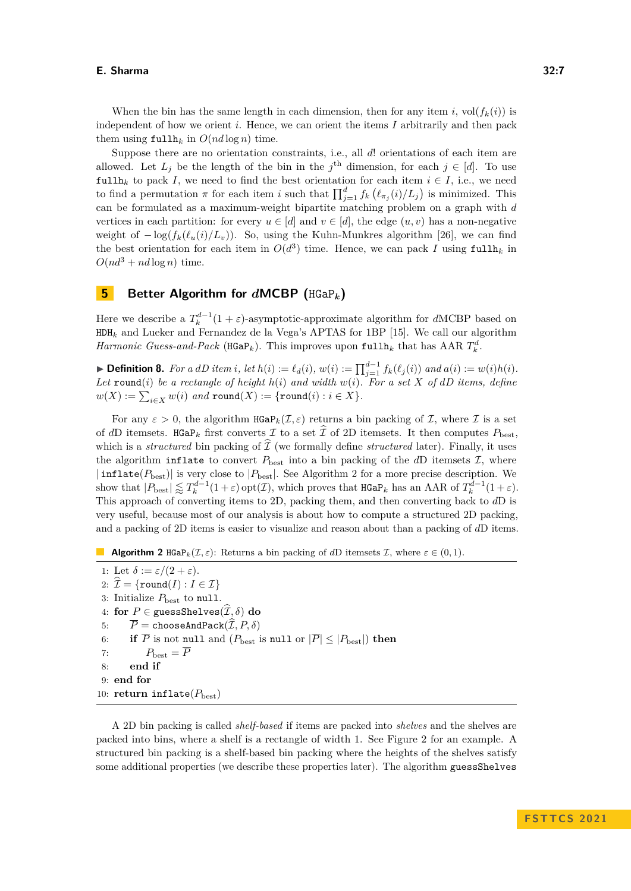When the bin has the same length in each dimension, then for any item *i*, vol $(f_k(i))$  is independent of how we orient *i*. Hence, we can orient the items *I* arbitrarily and then pack them using  $\text{fullh}_k$  in  $O(nd \log n)$  time.

Suppose there are no orientation constraints, i.e., all *d*! orientations of each item are allowed. Let  $L_j$  be the length of the bin in the  $j^{\text{th}}$  dimension, for each  $j \in [d]$ . To use fullh<sub>k</sub> to pack *I*, we need to find the best orientation for each item  $i \in I$ , i.e., we need to find a permutation  $\pi$  for each item *i* such that  $\prod_{j=1}^{d} f_k(\ell_{\pi_j}(i)/L_j)$  is minimized. This can be formulated as a maximum-weight bipartite matching problem on a graph with *d* vertices in each partition: for every  $u \in [d]$  and  $v \in [d]$ , the edge  $(u, v)$  has a non-negative weight of  $-\log(f_k(\ell_u(i)/L_v))$ . So, using the Kuhn-Munkres algorithm [\[26\]](#page-16-12), we can find the best orientation for each item in  $O(d^3)$  time. Hence, we can pack *I* using fullh<sub>k</sub> in  $O(nd^3 + nd \log n)$  time.

## <span id="page-6-0"></span>**5 Better Algorithm for** *d***MCBP (**HGaP*k***)**

Here we describe a  $T_k^{d-1}(1+\varepsilon)$ -asymptotic-approximate algorithm for *dMCBP* based on HDH*<sup>k</sup>* and Lueker and Fernandez de la Vega's APTAS for 1BP [\[15\]](#page-15-18). We call our algorithm *Harmonic Guess-and-Pack* ( $\text{HGaP}_k$ ). This improves upon  $\text{fullh}_k$  that has AAR  $T_k^d$ .

► Definition 8. For a dD item i, let  $h(i) := \ell_d(i)$ ,  $w(i) := \prod_{j=1}^{d-1} f_k(\ell_j(i))$  and  $a(i) := w(i)h(i)$ . Let round(*i*) be a rectangle of height  $h(i)$  and width  $w(i)$ . For a set X of dD items, define  $w(X) := \sum_{i \in X} w(i)$  and  $\texttt{round}(X) := \{\texttt{round}(i) : i \in X\}.$ 

For any  $\varepsilon > 0$ , the algorithm  $\text{HGap}_k(\mathcal{I}, \varepsilon)$  returns a bin packing of  $\mathcal{I}$ , where  $\mathcal{I}$  is a set of *dD* itemsets. HGaP<sub>k</sub> first converts  $\mathcal I$  to a set  $\hat{\mathcal I}$  of 2D itemsets. It then computes  $P_{\text{best}}$ , which is a *structured* bin packing of  $\mathcal{T}$  (we formally define *structured* later). Finally, it uses the algorithm inflate to convert  $P_{\text{best}}$  into a bin packing of the *dD* itemsets  $\mathcal{I}$ , where  $|\text{inflate}(P_{\text{best}})|$  is very close to  $|P_{\text{best}}|$ . See Algorithm [2](#page-6-1) for a more precise description. We show that  $|P_{\text{best}}| \lessapprox T_k^{d-1}(1+\varepsilon)$  opt $(\mathcal{I})$ , which proves that  $\text{HGaP}_k$  has an AAR of  $T_k^{d-1}(1+\varepsilon)$ . This approach of converting items to 2D, packing them, and then converting back to *d*D is very useful, because most of our analysis is about how to compute a structured 2D packing, and a packing of 2D items is easier to visualize and reason about than a packing of *d*D items.

<span id="page-6-1"></span>**Algorithm 2** HGaP<sub>k</sub>( $I, \varepsilon$ ): Returns a bin packing of *dD* itemsets I, where  $\varepsilon \in (0, 1)$ .

1: Let  $\delta := \varepsilon/(2 + \varepsilon)$ . 2:  $\widehat{\mathcal{I}} = \{\text{round}(I) : I \in \mathcal{I}\}\$ 3: Initialize  $P_{\text{best}}$  to null. 4: **for**  $P \in \text{guessShelves}(\widehat{\mathcal{I}}, \delta)$  **do**<br>5:  $\overline{P} = \text{chooseAndPack}(\widehat{\mathcal{I}}, P, \delta)$ 5:  $\overline{P}$  = chooseAndPack( $\widehat{T}$ , *P*,  $\delta$ )<br>6: **if**  $\overline{P}$  is not null and ( $P_{\text{best}}$ ) if  $\overline{P}$  is not null and  $(P_{\text{best}})$  is null or  $|\overline{P}| \leq |P_{\text{best}}|$ ) then 7:  $P_{\text{best}} = \overline{P}$ 8: **end if** 9: **end for** 10: **return** inflate( $P_{\text{best}}$ )

A 2D bin packing is called *shelf-based* if items are packed into *shelves* and the shelves are packed into bins, where a shelf is a rectangle of width 1. See Figure [2](#page-7-0) for an example. A structured bin packing is a shelf-based bin packing where the heights of the shelves satisfy some additional properties (we describe these properties later). The algorithm guessShelves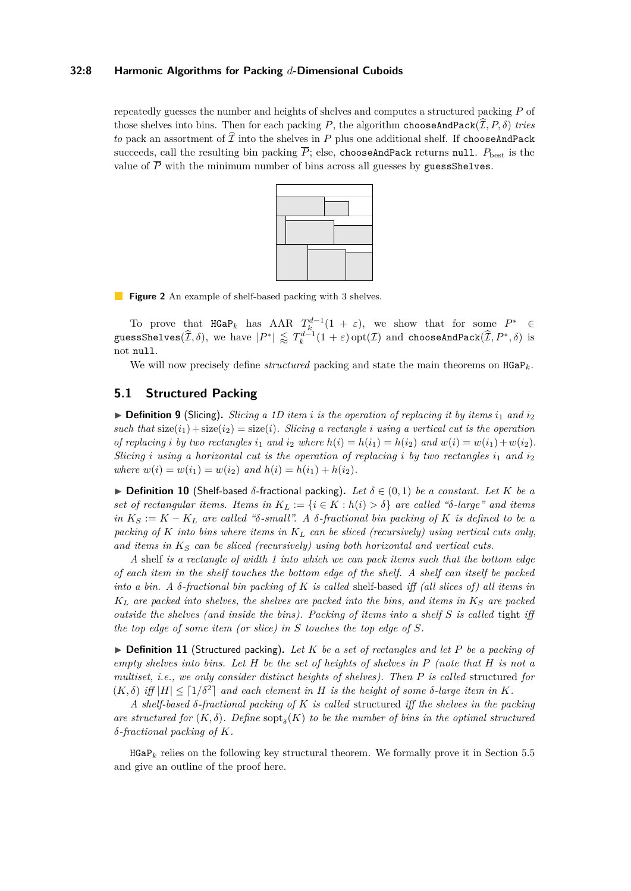#### **32:8 Harmonic Algorithms for Packing** *d***-Dimensional Cuboids**

<span id="page-7-0"></span>repeatedly guesses the number and heights of shelves and computes a structured packing *P* of those shelves into bins. Then for each packing *P*, the algorithm choose AndPack $(\widehat{\mathcal{I}}, P, \delta)$  *tries to* pack an assortment of  $\tilde{\mathcal{I}}$  into the shelves in *P* plus one additional shelf. If chooseAndPack succeeds, call the resulting bin packing  $\overline{P}$ ; else, chooseAndPack returns null.  $P_{\text{best}}$  is the value of  $\overline{P}$  with the minimum number of bins across all guesses by guessShelves.



**Figure 2** An example of shelf-based packing with 3 shelves.

To prove that  $\texttt{HGaP}_k$  has AAR  $T_k^{d-1}(1 + \varepsilon)$ , we show that for some  $P^* \in$  $g$ **uessShelves**( $\widehat{\mathcal{I}}, \delta$ ), we have  $|P^*| \lessapprox T_k^{d-1}(1+\varepsilon)$  opt( $\mathcal{I}$ ) and chooseAndPack( $\widehat{\mathcal{I}}, P^*, \delta$ ) is not null.

We will now precisely define *structured* packing and state the main theorems on  $HGaP_k$ .

## **5.1 Structured Packing**

 $\triangleright$  **Definition 9** (Slicing). *Slicing a 1D item i is the operation of replacing it by items*  $i_1$  *and*  $i_2$ *such that*  $size(i_1) + size(i_2) = size(i)$ *. Slicing a rectangle i using a vertical cut is the operation* of replacing i by two rectangles  $i_1$  and  $i_2$  where  $h(i) = h(i_1) = h(i_2)$  and  $w(i) = w(i_1) + w(i_2)$ . *Slicing i using a horizontal cut is the operation of replacing i by two rectangles*  $i_1$  *and*  $i_2$ *where*  $w(i) = w(i_1) = w(i_2)$  *and*  $h(i) = h(i_1) + h(i_2)$ .

 $▶$  **Definition 10** (Shelf-based  $\delta$ -fractional packing). Let  $\delta \in (0,1)$  be a constant. Let K be a *set of rectangular items. Items in*  $K_L := \{i \in K : h(i) > \delta\}$  *are called "δ-large" and items*  $in K_S := K - K_L$  *are called "δ-small". A*  $\delta$ *-fractional bin packing of*  $K$  *is defined to be a packing of K into bins where items in K<sup>L</sup> can be sliced (recursively) using vertical cuts only, and items in K<sup>S</sup> can be sliced (recursively) using both horizontal and vertical cuts.*

*A* shelf *is a rectangle of width 1 into which we can pack items such that the bottom edge of each item in the shelf touches the bottom edge of the shelf. A shelf can itself be packed into a bin. A δ-fractional bin packing of K is called* shelf-based *iff (all slices of) all items in*  $K_L$  *are packed into shelves, the shelves are packed into the bins, and items in*  $K_S$  *are packed outside the shelves (and inside the bins). Packing of items into a shelf S is called* tight *iff the top edge of some item (or slice) in S touches the top edge of S.*

▶ **Definition 11** (Structured packing)**.** *Let K be a set of rectangles and let P be a packing of empty shelves into bins. Let H be the set of heights of shelves in P (note that H is not a multiset, i.e., we only consider distinct heights of shelves). Then P is called* structured *for*  $(K, \delta)$  *iff*  $|H| \leq [1/\delta^2]$  *and each element in H is the height of some*  $\delta$ *-large item in K.* 

*A shelf-based δ-fractional packing of K is called* structured *iff the shelves in the packing are structured for*  $(K, \delta)$ . Define  $\text{sopt}_{\delta}(K)$  to be the number of bins in the optimal structured *δ-fractional packing of K.*

<span id="page-7-1"></span> $HGaP_k$  relies on the following key structural theorem. We formally prove it in Section [5.5](#page-10-0) and give an outline of the proof here.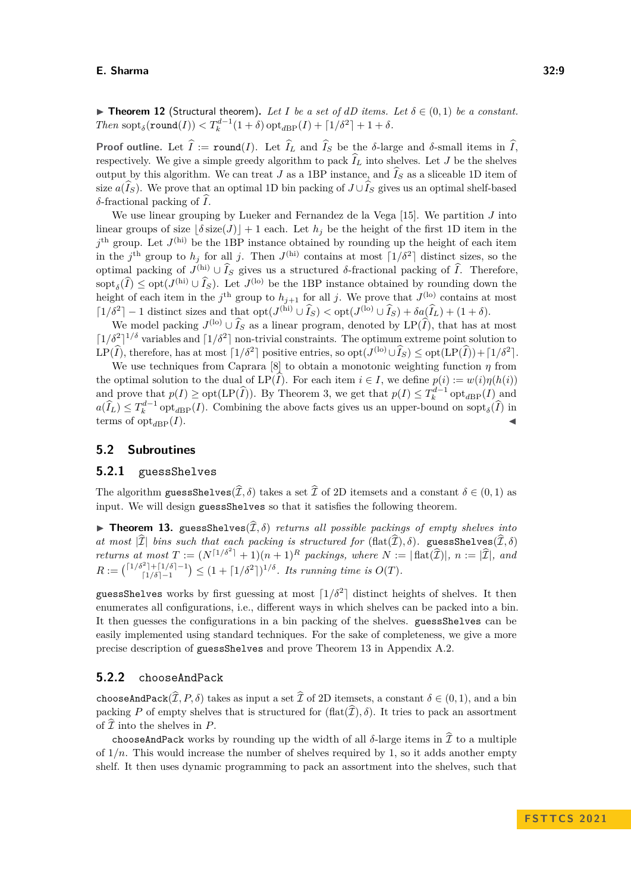▶ **Theorem 12** (Structural theorem). Let *I* be a set of dD items. Let  $\delta \in (0,1)$  be a constant. *Then*  $\text{sopt}_{\delta}(\text{round}(I)) < T_k^{d-1}(1+\delta) \text{ opt}_{dBP}(I) + \lceil 1/\delta^2 \rceil + 1 + \delta$ .

**Proof outline.** Let  $\hat{I}$  := round(*I*). Let  $\hat{I}$ <sub>*L*</sub> and  $\hat{I}$ <sub>*S*</sub> be the *δ*-large and *δ*-small items in  $\hat{I}$ , respectively. We give a simple greedy algorithm to pack  $\widehat{I}_L$  into shelves. Let *J* be the shelves output by this algorithm. We can treat *J* as a 1BP instance, and  $\widehat{I}_S$  as a sliceable 1D item of size  $a(\widehat{I}_S)$ . We prove that an optimal 1D bin packing of  $J \cup \widehat{I}_S$  gives us an optimal shelf-based *δ*-fractional packing of  $\hat{I}$ .

We use linear grouping by Lueker and Fernandez de la Vega [\[15\]](#page-15-18). We partition *J* into linear groups of size  $|\delta \text{ size}(J)| + 1$  each. Let  $h_j$  be the height of the first 1D item in the  $j<sup>th</sup>$  group. Let  $J<sup>(hi)</sup>$  be the 1BP instance obtained by rounding up the height of each item in the *j*<sup>th</sup> group to *h<sub>j</sub>* for all *j*. Then  $J^{(hi)}$  contains at most  $\lceil 1/\delta^2 \rceil$  distinct sizes, so the optimal packing of  $J^{(hi)} \cup \widehat{I}_S$  gives us a structured *δ*-fractional packing of  $\widehat{I}$ . Therefore,  $\operatorname{sopt}_{\delta}(\widehat{I}) \leq \operatorname{opt}(J^{(\text{hi})} \cup \widehat{I}_S)$ . Let  $J^{(\text{lo})}$  be the 1BP instance obtained by rounding down the height of each item in the  $j^{\text{th}}$  group to  $h_{j+1}$  for all *j*. We prove that  $J^{\text{(lo)}}$  contains at most  $\left[1/\delta^2\right] - 1$  distinct sizes and that  $\mathrm{opt}(J^{(\text{hi})} \cup \widehat{I}_S) < \mathrm{opt}(J^{(\text{lo})} \cup \widehat{I}_S) + \delta a(\widehat{I}_L) + (1 + \delta).$ 

We model packing  $J^{(\text{lo})} \cup \tilde{I}_S$  as a linear program, denoted by  $LP(\tilde{I})$ , that has at most  $\left[1/\delta^2\right]^{1/\delta}$  variables and  $\left[1/\delta^2\right]$  non-trivial constraints. The optimum extreme point solution to LP( $\widehat{I}$ ), therefore, has at most  $\lceil 1/\delta^2 \rceil$  positive entries, so  $\mathrm{opt}(J^{(\mathrm{lo})} \cup \widehat{I}_S) \leq \mathrm{opt}(\mathrm{LP}(\widehat{I})) + \lceil 1/\delta^2 \rceil$ .

We use techniques from Caprara [\[8\]](#page-15-0) to obtain a monotonic weighting function  $\eta$  from the optimal solution to the dual of  $LP(\widehat{I})$ . For each item  $i \in I$ , we define  $p(i) := w(i)\eta(h(i))$ and prove that  $p(I) \geq \text{opt}(\text{LP}(\widehat{I}))$ . By Theorem [3,](#page-3-1) we get that  $p(I) \leq T_k^{d-1} \text{ opt}_{d \text{BP}}(I)$  and  $a(\widehat{I}_L) \leq T_k^{d-1}$  opt<sub>*d*BP</sub>(*I*). Combining the above facts gives us an upper-bound on sopt<sub>*δ*</sub>( $\widehat{I}$ ) in terms of  $opt_{dBP}(I)$ .

#### **5.2 Subroutines**

#### **5.2.1** guessShelves

The algorithm guessShelves( $\widehat{\mathcal{I}}, \delta$ ) takes a set  $\widehat{\mathcal{I}}$  of 2D itemsets and a constant  $\delta \in (0,1)$  as input. We will design guessShelves so that it satisfies the following theorem.

<span id="page-8-0"></span>**► Theorem 13.** guessShelves $(\hat{\mathcal{I}}, \delta)$  *returns all possible packings of empty shelves into* at most  $|\hat{\mathcal{I}}|$  *bins such that each packing is structured for*  $(\text{flat}(\hat{\mathcal{I}}), \delta)$ . guessShelves $(\hat{\mathcal{I}}, \delta)$ *at most*  $|\mathcal{I}|$  *bins such that each packing is structured for*  $(\text{flat}(\mathcal{I}), \delta)$ *.* guessShelves $(\mathcal{I}, \delta)$ *returns at most*  $T := (N^{\lceil 1/\delta^2 \rceil} + 1)(n+1)^R$  *packings, where*  $N := |\text{flat}(\widehat{\mathcal{I}})|$ *, n* :=  $|\widehat{\mathcal{I}}|$ *, and*  $R := \binom{\lceil 1/\delta^2 \rceil + \lceil 1/\delta \rceil - 1}{\lceil 1/\delta \rceil - 1}$  $\binom{1}{1/\delta-1}^{1/\delta-1} \leq (1 + \lceil 1/\delta^2 \rceil)^{1/\delta}$ . Its running time is  $O(T)$ .

guessShelves works by first guessing at most  $\lceil 1/\delta^2 \rceil$  distinct heights of shelves. It then enumerates all configurations, i.e., different ways in which shelves can be packed into a bin. It then guesses the configurations in a bin packing of the shelves. guessShelves can be easily implemented using standard techniques. For the sake of completeness, we give a more precise description of guessShelves and prove Theorem [13](#page-8-0) in Appendix [A.2.](#page-17-0)

#### **5.2.2** chooseAndPack

chooseAndPack $(\widehat{\mathcal{I}}, P, \delta)$  takes as input a set  $\widehat{\mathcal{I}}$  of 2D itemsets, a constant  $\delta \in (0, 1)$ , and a bin packing *P* of empty shelves that is structured for  $(\text{flat}(\hat{\mathcal{I}}), \delta)$ . It tries to pack an assortment of  $\widehat{\mathcal{I}}$  into the shelves in  $P$ .

chooseAndPack works by rounding up the width of all  $\delta$ -large items in  $\tilde{\mathcal{I}}$  to a multiple of  $1/n$ . This would increase the number of shelves required by 1, so it adds another empty shelf. It then uses dynamic programming to pack an assortment into the shelves, such that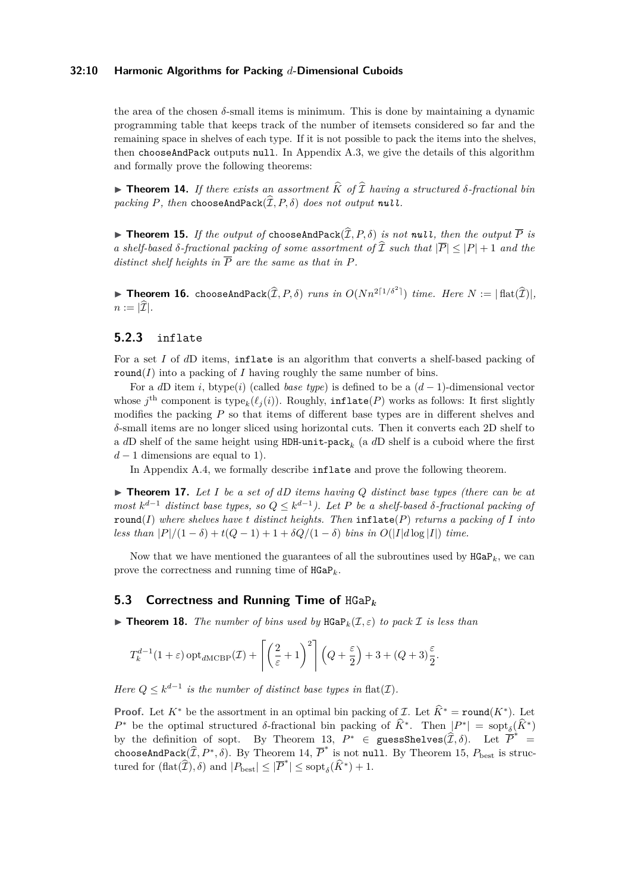#### **32:10 Harmonic Algorithms for Packing** *d***-Dimensional Cuboids**

the area of the chosen  $\delta$ -small items is minimum. This is done by maintaining a dynamic programming table that keeps track of the number of itemsets considered so far and the remaining space in shelves of each type. If it is not possible to pack the items into the shelves, then chooseAndPack outputs null. In Appendix [A.3,](#page-18-0) we give the details of this algorithm and formally prove the following theorems:

<span id="page-9-0"></span> $\triangleright$  **Theorem 14.** *If there exists an assortment*  $\widehat{K}$  *of*  $\widehat{\mathcal{I}}$  *having a structured*  $\delta$ *-fractional bin packing*  $P$ *, then* chooseAndPack $(\widehat{\mathcal{I}}, P, \delta)$  *does not output null.* 

<span id="page-9-1"></span> $\triangleright$  **Theorem 15.** If the output of choose And Pack( $\hat{\mathcal{I}}, P, \delta$ ) is not null, then the output  $\overline{P}$  is *a shelf-based*  $\delta$ -fractional packing of some assortment of  $\widehat{\mathcal{I}}$  such that  $|\overline{P}| \leq |P| + 1$  and the *distinct shelf heights in*  $\overline{P}$  *are the same as that in*  $P$ *.* 

<span id="page-9-3"></span>**Finds 16.** chooseAndPack $(\widehat{\mathcal{I}}, P, \delta)$  *runs in*  $O(Nn^{2\lceil 1/\delta^2 \rceil})$  *time. Here*  $N := |\text{flat}(\widehat{\mathcal{I}})|$ *,*  $n := |\widehat{\mathcal{I}}|$ .

## **5.2.3** inflate

For a set *I* of *d*D items, inflate is an algorithm that converts a shelf-based packing of round( $I$ ) into a packing of  $I$  having roughly the same number of bins.

For a *d*D item *i*, btype(*i*) (called *base type*) is defined to be a (*d* − 1)-dimensional vector whose  $j^{\text{th}}$  component is type<sub>k</sub> $(\ell_j(i))$ . Roughly,  $\text{inflate}(P)$  works as follows: It first slightly modifies the packing *P* so that items of different base types are in different shelves and *δ*-small items are no longer sliced using horizontal cuts. Then it converts each 2D shelf to a *d*D shelf of the same height using HDH-[unit](#page-4-3)-pack<sub>k</sub> (a *d*D shelf is a cuboid where the first  $d-1$  dimensions are equal to 1).

In Appendix [A.4,](#page-19-0) we formally describe inflate and prove the following theorem.

<span id="page-9-2"></span> $\triangleright$  **Theorem 17.** Let *I* be a set of dD items having Q distinct base types (there can be at *most*  $k^{d-1}$  *distinct base types, so*  $Q \leq k^{d-1}$ *). Let P be a shelf-based*  $\delta$ *-fractional packing of* round(*I*) *where shelves have t distinct heights. Then* inflate(*P*) *returns a packing of I into less than*  $|P|/(1 - \delta) + t(Q - 1) + 1 + \delta Q/(1 - \delta)$  *bins in*  $O(|I|d \log |I|)$  *time.* 

Now that we have mentioned the guarantees of all the subroutines used by  $HGaP_k$ , we can prove the correctness and running time of HGaP*k*.

#### **5.3 Correctness and Running Time of** HGaP*<sup>k</sup>*

 $\blacktriangleright$  **Theorem 18.** *The number of bins used by* HGaP<sub>k</sub>( $\mathcal{I}, \varepsilon$ ) *to pack*  $\mathcal{I}$  *is less than* 

$$
T_k^{d-1}(1+\varepsilon) \operatorname{opt}_{d\mathrm{MCBP}}(\mathcal{I}) + \left[ \left( \frac{2}{\varepsilon} + 1 \right)^2 \right] \left( Q + \frac{\varepsilon}{2} \right) + 3 + (Q+3)\frac{\varepsilon}{2}.
$$

*Here*  $Q \leq k^{d-1}$  *is the number of distinct base types in*  $\text{flat}(\mathcal{I})$ *.* 

**Proof.** Let  $K^*$  be the assortment in an optimal bin packing of  $\mathcal{I}$ . Let  $\hat{K}^*$  = round( $K^*$ ). Let *P*<sup>\*</sup> be the optimal structured *δ*-fractional bin packing of  $\hat{K}^*$ . Then  $|P^*| = \text{sopt}_{\delta}(\hat{K}^*)$ by the definition of sopt. By Theorem [13,](#page-8-0)  $P^* \in \text{guessShelves}(\hat{\mathcal{I}}, \delta)$ . Let  $\overline{P}^* =$ chooseAndPack $(\widehat{\mathcal{I}}, P^*, \delta)$ . By Theorem [14,](#page-9-0)  $\overline{P}^*$  is not null. By Theorem [15,](#page-9-1)  $P_{\text{best}}$  is structured for  $(\text{flat}(\hat{\mathcal{I}}), \delta)$  and  $|P_{\text{best}}| \leq |\overline{P}^*| \leq \text{sopt}_{\delta}(\widehat{K}^*) + 1$ .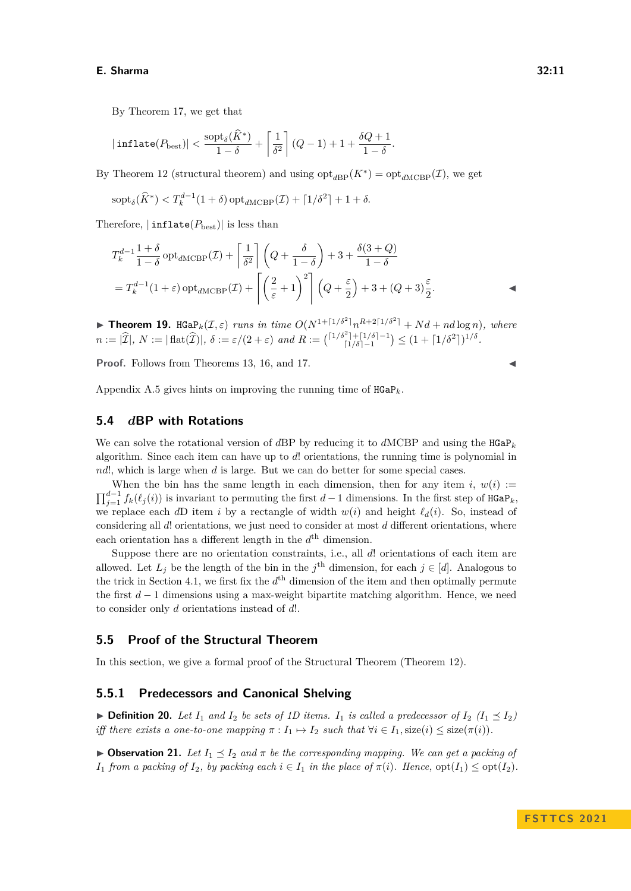By Theorem [17,](#page-9-2) we get that

$$
|\operatorname{inflate}(P_{\operatorname{best}})| < \frac{\operatorname{sopt}_{\delta}(\widehat{K}^*)}{1-\delta} + \left\lceil \frac{1}{\delta^2} \right\rceil (Q-1) + 1 + \frac{\delta Q + 1}{1-\delta}.
$$

By Theorem [12](#page-7-1) (structural theorem) and using  $\mathrm{opt}_{dBP}(K^*) = \mathrm{opt}_{dMCBP}(\mathcal{I})$ , we get

$$
\mathrm{sopt}_{\delta}(\widehat{K}^*) < T_k^{d-1}(1+\delta) \mathrm{opt}_{d\mathrm{MCBP}}(\mathcal{I}) + \lceil 1/\delta^2 \rceil + 1 + \delta.
$$

Therefore,  $|\text{inflate}(P_{\text{best}})|$  is less than

$$
T_k^{d-1} \frac{1+\delta}{1-\delta} \operatorname{opt}_{dMCBP}(\mathcal{I}) + \left[\frac{1}{\delta^2}\right] \left(Q + \frac{\delta}{1-\delta}\right) + 3 + \frac{\delta(3+Q)}{1-\delta}
$$
  
=  $T_k^{d-1}(1+\varepsilon) \operatorname{opt}_{dMCBP}(\mathcal{I}) + \left[\left(\frac{2}{\varepsilon}+1\right)^2\right] \left(Q + \frac{\varepsilon}{2}\right) + 3 + (Q + 3)\frac{\varepsilon}{2}.$ 

 $\blacktriangleright$  **Theorem 19.** HGaP<sub>k</sub>( $\mathcal{I}, \varepsilon$ ) *runs in time*  $O(N^{1+\lceil 1/\delta^2 \rceil} n^{R+2\lceil 1/\delta^2 \rceil} + Nd + nd \log n)$ , where  $n := |\hat{\mathcal{I}}|, N := |\text{flat}(\hat{\mathcal{I}})|, \delta := \varepsilon/(2 + \varepsilon) \text{ and } R := { \binom{\lceil 1/\delta^2 \rceil + \lceil 1/\delta \rceil - 1} {\lceil 1/\delta \rceil - 1}}$  $\binom{1}{\delta-1}^{i+1}\binom{1}{\delta}^{i-1} \leq (1+\lceil 1/\delta^2 \rceil)^{1/\delta}.$ 

**Proof.** Follows from Theorems [13,](#page-8-0) [16,](#page-9-3) and [17.](#page-9-2)

Appendix [A.5](#page-21-0) gives hints on improving the running time of  $HGaP_k$ .

#### **5.4** *d***BP with Rotations**

We can solve the rotational version of *dBP* by reducing it to *dMCBP* and using the  $HGaP_k$ algorithm. Since each item can have up to *d*! orientations, the running time is polynomial in *nd*!, which is large when *d* is large. But we can do better for some special cases.

When the bin has the same length in each dimension, then for any item *i*,  $w(i)$  :=  $\prod_{j=1}^{d-1} f_k(\ell_j(i))$  is invariant to permuting the first *d* − 1 dimensions. In the first step of HGaP<sub>*k*</sub>, we replace each *dD* item *i* by a rectangle of width  $w(i)$  and height  $\ell_d(i)$ . So, instead of considering all *d*! orientations, we just need to consider at most *d* different orientations, where each orientation has a different length in the  $d<sup>th</sup>$  dimension.

Suppose there are no orientation constraints, i.e., all *d*! orientations of each item are allowed. Let  $L_j$  be the length of the bin in the  $j^{\text{th}}$  dimension, for each  $j \in [d]$ . Analogous to the trick in Section [4.1,](#page-5-3) we first fix the  $d<sup>th</sup>$  dimension of the item and then optimally permute the first *d* − 1 dimensions using a max-weight bipartite matching algorithm. Hence, we need to consider only *d* orientations instead of *d*!.

#### <span id="page-10-0"></span>**5.5 Proof of the Structural Theorem**

In this section, we give a formal proof of the Structural Theorem (Theorem [12\)](#page-7-1).

## **5.5.1 Predecessors and Canonical Shelving**

 $\triangleright$  **Definition 20.** Let  $I_1$  and  $I_2$  be sets of 1D items.  $I_1$  is called a predecessor of  $I_2$  ( $I_1 \preceq I_2$ ) *iff there exists a one-to-one mapping*  $\pi : I_1 \mapsto I_2$  *such that*  $\forall i \in I_1$ , size(*i*)  $\leq$  size( $\pi(i)$ ).

<span id="page-10-2"></span><span id="page-10-1"></span> $\triangleright$  **Observation 21.** Let  $I_1 \preceq I_2$  and  $\pi$  be the corresponding mapping. We can get a packing of *I*<sub>1</sub> *from a packing of I*<sub>2</sub>*, by packing each*  $i \in I_1$  *in the place of*  $\pi(i)$ *. Hence,*  $\text{opt}(I_1) \leq \text{opt}(I_2)$ *.*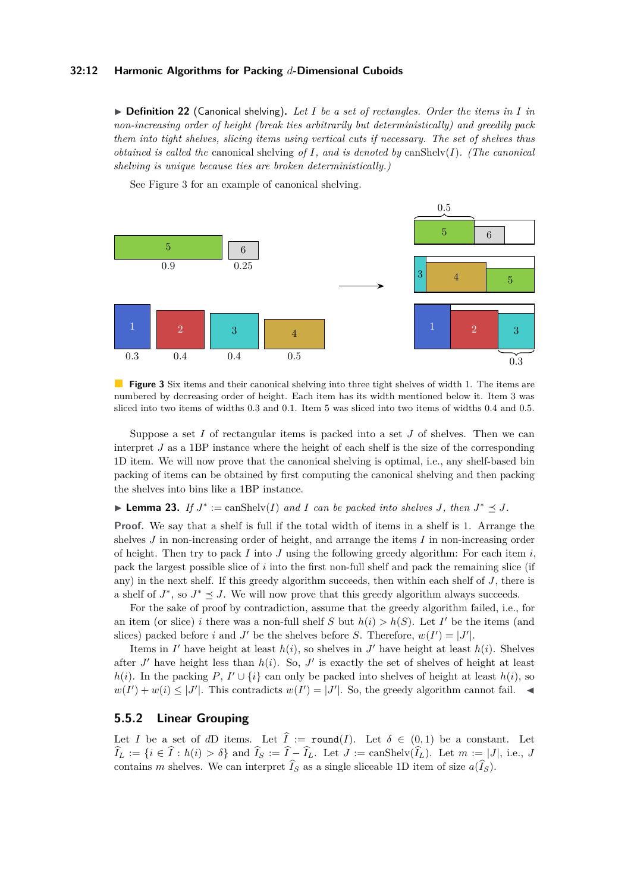#### **32:12 Harmonic Algorithms for Packing** *d***-Dimensional Cuboids**

▶ **Definition 22** (Canonical shelving)**.** *Let I be a set of rectangles. Order the items in I in non-increasing order of height (break ties arbitrarily but deterministically) and greedily pack them into tight shelves, slicing items using vertical cuts if necessary. The set of shelves thus obtained is called the* canonical shelving *of I, and is denoted by* canShelv(*I*)*. (The canonical shelving is unique because ties are broken deterministically.)*

<span id="page-11-0"></span>

See Figure [3](#page-11-0) for an example of canonical shelving.

**Figure 3** Six items and their canonical shelving into three tight shelves of width 1. The items are numbered by decreasing order of height. Each item has its width mentioned below it. Item 3 was sliced into two items of widths 0.3 and 0.1. Item 5 was sliced into two items of widths 0.4 and 0.5.

Suppose a set *I* of rectangular items is packed into a set *J* of shelves. Then we can interpret *J* as a 1BP instance where the height of each shelf is the size of the corresponding 1D item. We will now prove that the canonical shelving is optimal, i.e., any shelf-based bin packing of items can be obtained by first computing the canonical shelving and then packing the shelves into bins like a 1BP instance.

<span id="page-11-1"></span>▶ **Lemma 23.** *If*  $J^* := \text{canShelv}(I)$  *and I can be packed into shelves J, then*  $J^* \leq J$ *.* 

**Proof.** We say that a shelf is full if the total width of items in a shelf is 1. Arrange the shelves *J* in non-increasing order of height, and arrange the items *I* in non-increasing order of height. Then try to pack  $I$  into  $J$  using the following greedy algorithm: For each item  $i$ , pack the largest possible slice of *i* into the first non-full shelf and pack the remaining slice (if any) in the next shelf. If this greedy algorithm succeeds, then within each shelf of *J*, there is a shelf of  $J^*$ , so  $J^* \leq J$ . We will now prove that this greedy algorithm always succeeds.

For the sake of proof by contradiction, assume that the greedy algorithm failed, i.e., for an item (or slice) *i* there was a non-full shelf *S* but  $h(i) > h(S)$ . Let *I'* be the items (and slices) packed before *i* and *J'* be the shelves before *S*. Therefore,  $w(I') = |J'|$ .

Items in *I*' have height at least  $h(i)$ , so shelves in *J*' have height at least  $h(i)$ . Shelves after  $J'$  have height less than  $h(i)$ . So,  $J'$  is exactly the set of shelves of height at least *h*(*i*). In the packing *P*, *I*<sup>'</sup>  $\cup$  {*i*} can only be packed into shelves of height at least *h*(*i*), so  $w(I') + w(i) \leq |J'|$ . This contradicts  $w(I') = |J'|$ . So, the greedy algorithm cannot fail.

#### **5.5.2 Linear Grouping**

Let *I* be a set of *dD* items. Let  $\hat{I} := \text{round}(I)$ . Let  $\delta \in (0,1)$  be a constant. Let  $I_L := \{ i \in I : h(i) > \delta \}$  and  $I_S := I - I_L$ . Let  $J := \text{canShelv}(I_L)$ . Let  $m := |J|$ , i.e., *J* contains *m* shelves. We can interpret  $I_S$  as a single sliceable 1D item of size  $a(I_S)$ .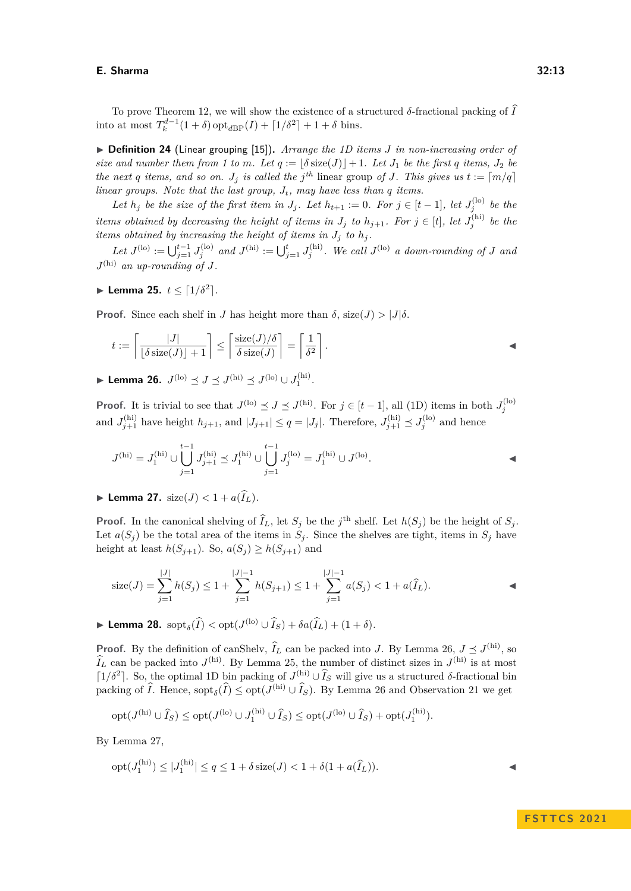To prove Theorem [12,](#page-7-1) we will show the existence of a structured  $\delta$ -fractional packing of  $\hat{I}$ into at most  $T_k^{d-1}(1+\delta)$  opt<sub>*d*BP</sub> $(I) + [1/\delta^2] + 1 + \delta$  bins.

▶ **Definition 24** (Linear grouping [\[15\]](#page-15-18))**.** *Arrange the 1D items J in non-increasing order of size and number them from 1 to m. Let*  $q := |\delta \text{ size}(J)| + 1$ . Let  $J_1$  be the first q items,  $J_2$  be *the next q items, and so on.*  $J_j$  *is called the*  $j^{th}$  linear group of *J. This gives us*  $t := \lfloor m/q \rfloor$ *linear groups. Note that the last group, Jt, may have less than q items.*

*Let*  $h_j$  *be the size of the first item in*  $J_j$ *. Let*  $h_{t+1} := 0$ *. For*  $j \in [t-1]$ *, let*  $J_j^{(\text{lo})}$  *be the items obtained by decreasing the height of items in*  $J_j$  to  $h_{j+1}$ . For  $j \in [t]$ , let  $J_j^{(hi)}$  be the *items obtained by increasing the height of items in*  $J_j$  *to*  $h_j$ *.* 

 $Let J^{(lo)} := \bigcup_{j=1}^{t-1} J_j^{(lo)}$  and  $J^{(hi)} := \bigcup_{j=1}^{t} J_j^{(hi)}$ . We call  $J^{(lo)}$  *a down-rounding of J and*  $J<sup>(hi)</sup>$  *an up-rounding of*  $J$ *.* 

<span id="page-12-1"></span>▶ **Lemma 25.**  $t \leq \lceil 1/\delta^2 \rceil$ .

**Proof.** Since each shelf in *J* has height more than  $\delta$ , size(*J*)  $> |J|\delta$ .

$$
t := \left\lceil \frac{|J|}{\lfloor \delta \operatorname{size}(J) \rfloor + 1} \right\rceil \le \left\lceil \frac{\operatorname{size}(J)/\delta}{\delta \operatorname{size}(J)} \right\rceil = \left\lceil \frac{1}{\delta^2} \right\rceil.
$$

<span id="page-12-0"></span>▶ Lemma 26.  $J^{(lo)}$   $\preceq J$   $\preceq J^{(hi)}$   $\preceq J^{(lo)} \cup J_1^{(hi)}$ .

**Proof.** It is trivial to see that  $J^{(\text{lo})} \preceq J \preceq J^{(\text{hi})}$ . For  $j \in [t-1]$ , all (1D) items in both  $J_j^{(\text{lo})}$ and  $J_{j+1}^{(hi)}$  have height  $h_{j+1}$ , and  $|J_{j+1}| \le q = |J_j|$ . Therefore,  $J_{j+1}^{(hi)} \preceq J_j^{(lo)}$  and hence

$$
J^{(hi)} = J_1^{(hi)} \cup \bigcup_{j=1}^{t-1} J_{j+1}^{(hi)} \preceq J_1^{(hi)} \cup \bigcup_{j=1}^{t-1} J_j^{(lo)} = J_1^{(hi)} \cup J^{(lo)}.
$$

<span id="page-12-2"></span> $\blacktriangleright$  **Lemma 27.** size(*J*)  $< 1 + a(\hat{I}_L)$ .

**Proof.** In the canonical shelving of  $\hat{I}_L$ , let  $S_j$  be the *j*<sup>th</sup> shelf. Let  $h(S_j)$  be the height of  $S_j$ . Let  $a(S_j)$  be the total area of the items in  $S_j$ . Since the shelves are tight, items in  $S_j$  have height at least  $h(S_{j+1})$ . So,  $a(S_j) \geq h(S_{j+1})$  and

$$
\operatorname{size}(J) = \sum_{j=1}^{|J|} h(S_j) \le 1 + \sum_{j=1}^{|J|-1} h(S_{j+1}) \le 1 + \sum_{j=1}^{|J|-1} a(S_j) < 1 + a(\widehat{I}_L).
$$

<span id="page-12-3"></span>▶ **Lemma 28.**  $\mathrm{sopt}_{\delta}(\widehat{I}) < \mathrm{opt}(J^{(\mathrm{lo})} \cup \widehat{I}_S) + \delta a(\widehat{I}_L) + (1 + \delta).$ 

**Proof.** By the definition of canShelv,  $\hat{I}_L$  can be packed into *J*. By Lemma [26,](#page-12-0)  $J \leq J^{(hi)}$ , so  $\hat{I}_L$  can be packed into *J*<sup>(hi)</sup>. By Lemma [25,](#page-12-1) the number of distinct sizes in *J*<sup>(hi)</sup> is at most  $\lceil 1/δ^2 \rceil$ . So, the optimal 1D bin packing of *J*<sup>(hi)</sup> ∪  $\hat{I}_S$  will give us a structured δ-fractional bin packing of  $\widehat{I}$ . Hence,  $\text{sopt}_\delta(\widehat{I}) \leq \text{opt}(J^{(\text{hi})} \cup \widehat{I}_S)$ . By Lemma [26](#page-12-0) and Observation [21](#page-10-1) we get

$$
\mathrm{opt}(J^{(\mathrm{hi})}\cup \widehat{I}_S) \leq \mathrm{opt}(J^{(\mathrm{lo})}\cup J_1^{(\mathrm{hi})}\cup \widehat{I}_S) \leq \mathrm{opt}(J^{(\mathrm{lo})}\cup \widehat{I}_S) + \mathrm{opt}(J_1^{(\mathrm{hi})}).
$$

By Lemma [27,](#page-12-2)

$$
opt(J_1^{(hi)}) \le |J_1^{(hi)}| \le q \le 1 + \delta \operatorname{size}(J) < 1 + \delta(1 + a(\widehat{I}_L)).
$$

**F S T T C S 2 0 2 1**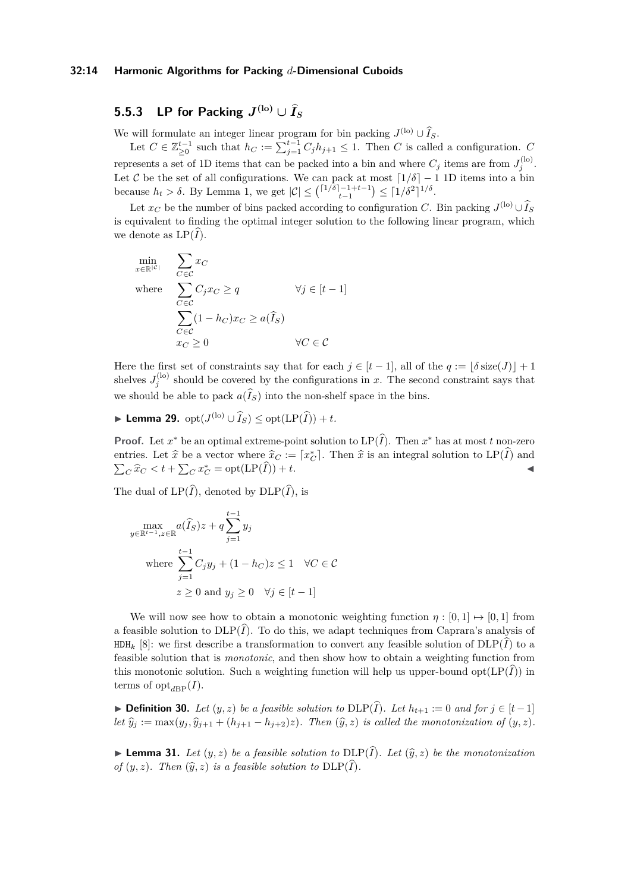#### **32:14 Harmonic Algorithms for Packing** *d***-Dimensional Cuboids**

## <span id="page-13-1"></span> $\mathbf{5.5.3}$  LP for Packing  $J^{(\mathrm{lo})}\cup \widehat{I}_S$

We will formulate an integer linear program for bin packing  $J^{(\text{lo})} \cup \hat{I}_S$ .

Let  $C \in \mathbb{Z}_{\geq 0}^{t-1}$  such that  $h_C := \sum_{j=1}^{t-1} C_j h_{j+1} \leq 1$ . Then *C* is called a configuration. *C* represents a set of 1D items that can be packed into a bin and where  $C_j$  items are from  $J_j^{(\text{lo})}$ . Let C be the set of all configurations. We can pack at most  $\lceil 1/\delta \rceil - 1$  1D items into a bin because  $h_t > \delta$ . By Lemma [1,](#page-3-2) we get  $|\mathcal{C}| \leq {\binom{[1/\delta]-1+t-1}{t-1}} \leq {\lceil 1/\delta^2 \rceil^{1/\delta}}$ .

Let  $x_C$  be the number of bins packed according to configuration *C*. Bin packing  $J^{(\text{lo})} \cup \widehat{I}_S$ is equivalent to finding the optimal integer solution to the following linear program, which we denote as  $LP(I)$ .

$$
\begin{aligned}\n\min_{x \in \mathbb{R}^{|\mathcal{C}|}} & \sum_{C \in \mathcal{C}} x_C \\
\text{where} & \sum_{C \in \mathcal{C}} C_j x_C \ge q & \forall j \in [t-1] \\
& \sum_{C \in \mathcal{C}} (1 - h_C) x_C \ge a(\widehat{I}_S) \\
& x_C \ge 0 & \forall C \in \mathcal{C}\n\end{aligned}
$$

Here the first set of constraints say that for each  $j \in [t-1]$ , all of the  $q := |\delta \text{ size}(J)| + 1$ shelves  $J_j^{(lo)}$  should be covered by the configurations in *x*. The second constraint says that we should be able to pack  $a(\widehat{I}_S)$  into the non-shelf space in the bins.

<span id="page-13-0"></span>▶ **Lemma 29.**  $opt(J^{(lo)} \cup \widehat{I}_S) \leq opt(\text{LP}(\widehat{I}))+t$ *.* 

**Proof.** Let  $x^*$  be an optimal extreme-point solution to  $LP(\hat{I})$ . Then  $x^*$  has at most  $t$  non-zero entries. Let  $\hat{x}$  be a vector where  $\hat{x}_C := [x_C^*]$ . Then  $\hat{x}$  is an integral solution to  $LP(\hat{I})$  and  $\sum_{i=1}^{\infty}$   $\hat{x}^* + \sum_{i=1}^{\infty} x_i^* = opt(\text{LP}(\hat{I})) + t$  $\sum_{C} \hat{x}_{C} < t + \sum_{C} x_{C}^{*} = \text{opt}(\text{LP}(\widehat{I})) + t.$ 

The dual of  $LP(\widehat{I})$ , denoted by  $DLP(\widehat{I})$ , is

$$
\max_{y \in \mathbb{R}^{t-1}, z \in \mathbb{R}} a(\widehat{I}_S)z + q \sum_{j=1}^{t-1} y_j
$$
\nwhere 
$$
\sum_{j=1}^{t-1} C_j y_j + (1 - h_C)z \le 1 \quad \forall C \in \mathcal{C}
$$
\n
$$
z \ge 0 \text{ and } y_j \ge 0 \quad \forall j \in [t-1]
$$

We will now see how to obtain a monotonic weighting function  $\eta : [0,1] \mapsto [0,1]$  from a feasible solution to  $DLP(\hat{I})$ . To do this, we adapt techniques from Caprara's analysis of  $HDH_k$  [\[8\]](#page-15-0): we first describe a transformation to convert any feasible solution of  $DLP(I)$  to a feasible solution that is *monotonic*, and then show how to obtain a weighting function from this monotonic solution. Such a weighting function will help us upper-bound  $opt(LP(\tilde{I}))$  in terms of  $opt_{dBP}(I)$ .

▶ **Definition 30.** *Let*  $(y, z)$  *be a feasible solution to*  $DLP(\widehat{I})$ *. Let*  $h_{t+1} := 0$  *and for*  $j \in [t-1]$ let  $\hat{y}_i := \max(y_i, \hat{y}_{i+1} + (h_{i+1} - h_{i+2})z)$ . Then  $(\hat{y}, z)$  is called the monotonization of  $(y, z)$ .

<span id="page-13-2"></span> $\blacktriangleright$  **Lemma 31.** Let  $(y, z)$  be a feasible solution to DLP( $\hat{I}$ ). Let  $(\hat{y}, z)$  be the monotonization *of*  $(y, z)$ *. Then*  $(\widehat{y}, z)$  *is a feasible solution to*  $DLP(\widehat{I})$ *.*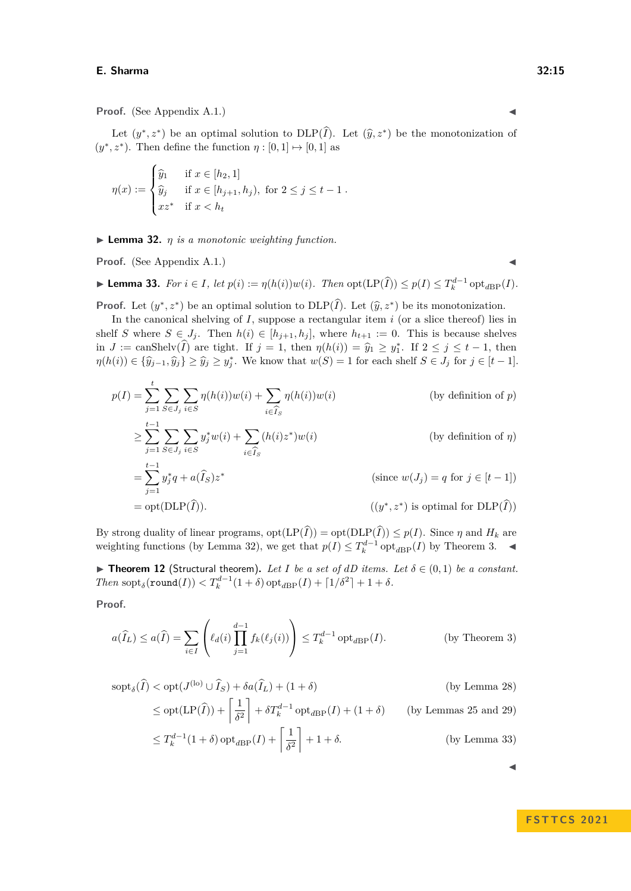**Proof.** (See Appendix [A.1.](#page-16-13))

Let  $(y^*, z^*)$  be an optimal solution to  $\text{DLP}(\hat{I})$ . Let  $(\hat{y}, z^*)$  be the monotonization of  $(y^*, z^*)$ . Then define the function  $\eta : [0, 1] \mapsto [0, 1]$  as

$$
\eta(x) := \begin{cases} \widehat{y}_1 & \text{if } x \in [h_2, 1] \\ \widehat{y}_j & \text{if } x \in [h_{j+1}, h_j), \text{ for } 2 \le j \le t - 1 \\ x z^* & \text{if } x < h_t \end{cases}
$$

<span id="page-14-0"></span>▶ **Lemma 32.** *η is a monotonic weighting function.*

**Proof.** (See Appendix [A.1.](#page-16-13))

<span id="page-14-1"></span>► Lemma 33. For  $i \in I$ , let  $p(i) := \eta(h(i))w(i)$ . Then  $\text{opt}(\text{LP}(\widehat{I})) \leq p(I) \leq T_k^{d-1} \text{opt}_{d\text{BP}}(I)$ .

**Proof.** Let  $(y^*, z^*)$  be an optimal solution to  $DLP(\hat{I})$ . Let  $(\hat{y}, z^*)$  be its monotonization.

In the canonical shelving of *I*, suppose a rectangular item *i* (or a slice thereof) lies in shelf *S* where  $S \in J_j$ . Then  $h(i) \in [h_{j+1}, h_j]$ , where  $h_{t+1} := 0$ . This is because shelves in  $J := \text{canShelv}(\hat{I})$  are tight. If  $j = 1$ , then  $\eta(h(i)) = \hat{y}_1 \ge y_1^*$ . If  $2 \le j \le t - 1$ , then  $\eta(h(i)) \in {\hat{y}_{j-1}, \hat{y}_j} \ge \hat{y}_j \ge y_j^*$ . We know that  $w(S) = 1$  for each shelf  $S \in J_j$  for  $j \in [t-1]$ .

$$
p(I) = \sum_{j=1}^{t} \sum_{S \in J_j} \sum_{i \in S} \eta(h(i))w(i) + \sum_{i \in \widehat{I}_S} \eta(h(i))w(i)
$$
 (by definition of *p*)  
\n
$$
\geq \sum_{j=1}^{t-1} \sum_{S \in J_j} \sum_{i \in S} y_j^* w(i) + \sum_{i \in \widehat{I}_S} (h(i)z^*)w(i)
$$
 (by definition of  $\eta$ )  
\n
$$
= \sum_{j=1}^{t-1} y_j^* q + a(\widehat{I}_S)z^*
$$
 (since  $w(J_j) = q$  for  $j \in [t-1]$ )  
\n
$$
= \text{opt}(\text{DLP}(\widehat{I})).
$$
 ( $(y^*, z^*)$  is optimal for  $\text{DLP}(\widehat{I}))$ )

By strong duality of linear programs,  $opt(LP(I)) = opt(DLP(I)) \leq p(I)$ . Since  $\eta$  and  $H_k$  are weighting functions (by Lemma [32\)](#page-14-0), we get that  $p(I) \leq T_k^{d-1} \text{ opt}_{dBP}(I)$  by Theorem [3.](#page-3-1)  $\blacktriangleleft$ 

▶ **Theorem 12** (Structural theorem). Let *I* be a set of  $dD$  items. Let  $\delta \in (0,1)$  be a constant. *Then*  $\text{sopt}_{\delta}(\text{round}(I)) < T_k^{d-1}(1+\delta)$   $\text{opt}_{dBP}(I) + \lceil 1/\delta^2 \rceil + 1 + \delta$ .

**Proof.**

$$
a(\widehat{I}_L) \le a(\widehat{I}) = \sum_{i \in I} \left( \ell_d(i) \prod_{j=1}^{d-1} f_k(\ell_j(i)) \right) \le T_k^{d-1} \operatorname{opt}_{d \to P}(I). \tag{by Theorem 3}
$$

$$
sopt_{\delta}(\widehat{I}) < opt(J^{(lo)} \cup \widehat{I}_S) + \delta a(\widehat{I}_L) + (1 + \delta)
$$
 (by Lemma 28)  
\n
$$
\le opt(\text{LP}(\widehat{I})) + \left[\frac{1}{\delta^2}\right] + \delta T_k^{d-1} opt_{dBP}(I) + (1 + \delta)
$$
 (by Lemmas 25 and 29)  
\n
$$
\le \overline{C}(\text{LP}(\widehat{I})) + \left[\frac{1}{\delta^2}\right] + \delta T_k^{d-1} opt_{dBP}(I) + (1 + \delta)
$$

$$
\leq T_k^{d-1}(1+\delta)\operatorname{opt}_{d\text{BP}}(I) + \left\lceil \frac{1}{\delta^2} \right\rceil + 1 + \delta. \tag{by Lemma 33}
$$

**F S T T C S 2 0 2 1**

◀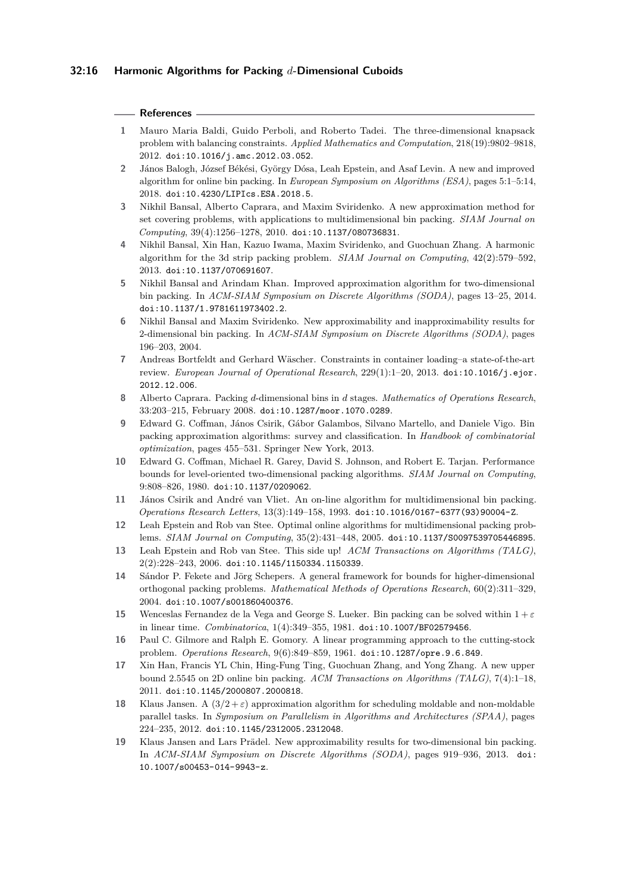#### **32:16 Harmonic Algorithms for Packing** *d***-Dimensional Cuboids**

#### **References**

- <span id="page-15-5"></span>**1** Mauro Maria Baldi, Guido Perboli, and Roberto Tadei. The three-dimensional knapsack problem with balancing constraints. *Applied Mathematics and Computation*, 218(19):9802–9818, 2012. [doi:10.1016/j.amc.2012.03.052](https://doi.org/10.1016/j.amc.2012.03.052).
- <span id="page-15-15"></span>**2** János Balogh, József Békési, György Dósa, Leah Epstein, and Asaf Levin. A new and improved algorithm for online bin packing. In *European Symposium on Algorithms (ESA)*, pages 5:1–5:14, 2018. [doi:10.4230/LIPIcs.ESA.2018.5](https://doi.org/10.4230/LIPIcs.ESA.2018.5).
- <span id="page-15-6"></span>**3** Nikhil Bansal, Alberto Caprara, and Maxim Sviridenko. A new approximation method for set covering problems, with applications to multidimensional bin packing. *SIAM Journal on Computing*, 39(4):1256–1278, 2010. [doi:10.1137/080736831](https://doi.org/10.1137/080736831).
- <span id="page-15-10"></span>**4** Nikhil Bansal, Xin Han, Kazuo Iwama, Maxim Sviridenko, and Guochuan Zhang. A harmonic algorithm for the 3d strip packing problem. *SIAM Journal on Computing*, 42(2):579–592, 2013. [doi:10.1137/070691607](https://doi.org/10.1137/070691607).
- <span id="page-15-8"></span>**5** Nikhil Bansal and Arindam Khan. Improved approximation algorithm for two-dimensional bin packing. In *ACM-SIAM Symposium on Discrete Algorithms (SODA)*, pages 13–25, 2014. [doi:10.1137/1.9781611973402.2](https://doi.org/10.1137/1.9781611973402.2).
- <span id="page-15-9"></span>**6** Nikhil Bansal and Maxim Sviridenko. New approximability and inapproximability results for 2-dimensional bin packing. In *ACM-SIAM Symposium on Discrete Algorithms (SODA)*, pages 196–203, 2004.
- <span id="page-15-1"></span>**7** Andreas Bortfeldt and Gerhard Wäscher. Constraints in container loading–a state-of-the-art review. *European Journal of Operational Research*, 229(1):1–20, 2013. [doi:10.1016/j.ejor.](https://doi.org/10.1016/j.ejor.2012.12.006) [2012.12.006](https://doi.org/10.1016/j.ejor.2012.12.006).
- <span id="page-15-0"></span>**8** Alberto Caprara. Packing *d*-dimensional bins in *d* stages. *Mathematics of Operations Research*, 33:203–215, February 2008. [doi:10.1287/moor.1070.0289](https://doi.org/10.1287/moor.1070.0289).
- <span id="page-15-3"></span>**9** Edward G. Coffman, János Csirik, Gábor Galambos, Silvano Martello, and Daniele Vigo. Bin packing approximation algorithms: survey and classification. In *Handbook of combinatorial optimization*, pages 455–531. Springer New York, 2013.
- <span id="page-15-4"></span>**10** Edward G. Coffman, Michael R. Garey, David S. Johnson, and Robert E. Tarjan. Performance bounds for level-oriented two-dimensional packing algorithms. *SIAM Journal on Computing*, 9:808–826, 1980. [doi:10.1137/0209062](https://doi.org/10.1137/0209062).
- <span id="page-15-13"></span>**11** János Csirik and André van Vliet. An on-line algorithm for multidimensional bin packing. *Operations Research Letters*, 13(3):149–158, 1993. [doi:10.1016/0167-6377\(93\)90004-Z](https://doi.org/10.1016/0167-6377(93)90004-Z).
- <span id="page-15-12"></span>**12** Leah Epstein and Rob van Stee. Optimal online algorithms for multidimensional packing problems. *SIAM Journal on Computing*, 35(2):431–448, 2005. [doi:10.1137/S0097539705446895](https://doi.org/10.1137/S0097539705446895).
- <span id="page-15-11"></span>**13** Leah Epstein and Rob van Stee. This side up! *ACM Transactions on Algorithms (TALG)*, 2(2):228–243, 2006. [doi:10.1145/1150334.1150339](https://doi.org/10.1145/1150334.1150339).
- <span id="page-15-17"></span>**14** Sándor P. Fekete and Jörg Schepers. A general framework for bounds for higher-dimensional orthogonal packing problems. *Mathematical Methods of Operations Research*, 60(2):311–329, 2004. [doi:10.1007/s001860400376](https://doi.org/10.1007/s001860400376).
- <span id="page-15-18"></span>**15** Wenceslas Fernandez de la Vega and George S. Lueker. Bin packing can be solved within 1 + *ε* in linear time. *Combinatorica*, 1(4):349–355, 1981. [doi:10.1007/BF02579456](https://doi.org/10.1007/BF02579456).
- <span id="page-15-2"></span>**16** Paul C. Gilmore and Ralph E. Gomory. A linear programming approach to the cutting-stock problem. *Operations Research*, 9(6):849–859, 1961. [doi:10.1287/opre.9.6.849](https://doi.org/10.1287/opre.9.6.849).
- <span id="page-15-16"></span>**17** Xin Han, Francis YL Chin, Hing-Fung Ting, Guochuan Zhang, and Yong Zhang. A new upper bound 2.5545 on 2D online bin packing. *ACM Transactions on Algorithms (TALG)*, 7(4):1–18, 2011. [doi:10.1145/2000807.2000818](https://doi.org/10.1145/2000807.2000818).
- <span id="page-15-14"></span>**18** Klaus Jansen. A  $(3/2 + \varepsilon)$  approximation algorithm for scheduling moldable and non-moldable parallel tasks. In *Symposium on Parallelism in Algorithms and Architectures (SPAA)*, pages 224–235, 2012. [doi:10.1145/2312005.2312048](https://doi.org/10.1145/2312005.2312048).
- <span id="page-15-7"></span>**19** Klaus Jansen and Lars Prädel. New approximability results for two-dimensional bin packing. In *ACM-SIAM Symposium on Discrete Algorithms (SODA)*, pages 919–936, 2013. [doi:](https://doi.org/10.1007/s00453-014-9943-z) [10.1007/s00453-014-9943-z](https://doi.org/10.1007/s00453-014-9943-z).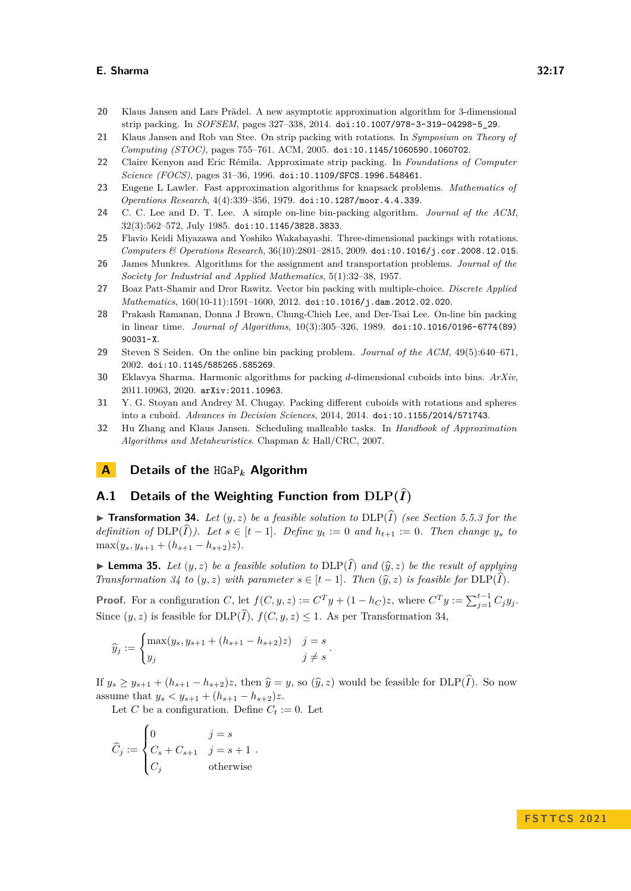- <span id="page-16-4"></span>**20** Klaus Jansen and Lars Prädel. A new asymptotic approximation algorithm for 3-dimensional strip packing. In *SOFSEM*, pages 327–338, 2014. [doi:10.1007/978-3-319-04298-5\\_29](https://doi.org/10.1007/978-3-319-04298-5_29).
- <span id="page-16-3"></span>**21** Klaus Jansen and Rob van Stee. On strip packing with rotations. In *Symposium on Theory of Computing (STOC)*, pages 755–761. ACM, 2005. [doi:10.1145/1060590.1060702](https://doi.org/10.1145/1060590.1060702).
- <span id="page-16-2"></span>**22** Claire Kenyon and Eric Rémila. Approximate strip packing. In *Foundations of Computer Science (FOCS)*, pages 31–36, 1996. [doi:10.1109/SFCS.1996.548461](https://doi.org/10.1109/SFCS.1996.548461).
- <span id="page-16-6"></span>**23** Eugene L Lawler. Fast approximation algorithms for knapsack problems. *Mathematics of Operations Research*, 4(4):339–356, 1979. [doi:10.1287/moor.4.4.339](https://doi.org/10.1287/moor.4.4.339).
- <span id="page-16-0"></span>**24** C. C. Lee and D. T. Lee. A simple on-line bin-packing algorithm. *Journal of the ACM*, 32(3):562–572, July 1985. [doi:10.1145/3828.3833](https://doi.org/10.1145/3828.3833).
- <span id="page-16-5"></span>**25** Flavio Keidi Miyazawa and Yoshiko Wakabayashi. Three-dimensional packings with rotations. *Computers & Operations Research*, 36(10):2801–2815, 2009. [doi:10.1016/j.cor.2008.12.015](https://doi.org/10.1016/j.cor.2008.12.015).
- <span id="page-16-12"></span>**26** James Munkres. Algorithms for the assignment and transportation problems. *Journal of the Society for Industrial and Applied Mathematics*, 5(1):32–38, 1957.
- <span id="page-16-7"></span>**27** Boaz Patt-Shamir and Dror Rawitz. Vector bin packing with multiple-choice. *Discrete Applied Mathematics*, 160(10-11):1591–1600, 2012. [doi:10.1016/j.dam.2012.02.020](https://doi.org/10.1016/j.dam.2012.02.020).
- <span id="page-16-9"></span>**28** Prakash Ramanan, Donna J Brown, Chung-Chieh Lee, and Der-Tsai Lee. On-line bin packing in linear time. *Journal of Algorithms*, 10(3):305–326, 1989. [doi:10.1016/0196-6774\(89\)](https://doi.org/10.1016/0196-6774(89)90031-X) [90031-X](https://doi.org/10.1016/0196-6774(89)90031-X).
- <span id="page-16-10"></span>**29** Steven S Seiden. On the online bin packing problem. *Journal of the ACM*, 49(5):640–671, 2002. [doi:10.1145/585265.585269](https://doi.org/10.1145/585265.585269).
- <span id="page-16-11"></span>**30** Eklavya Sharma. Harmonic algorithms for packing *d*-dimensional cuboids into bins. *ArXiv*, 2011.10963, 2020. [arXiv:2011.10963](http://arxiv.org/abs/2011.10963).
- <span id="page-16-1"></span>**31** Y. G. Stoyan and Andrey M. Chugay. Packing different cuboids with rotations and spheres into a cuboid. *Advances in Decision Sciences*, 2014, 2014. [doi:10.1155/2014/571743](https://doi.org/10.1155/2014/571743).
- <span id="page-16-8"></span>**32** Hu Zhang and Klaus Jansen. Scheduling malleable tasks. In *Handbook of Approximation Algorithms and Metaheuristics*. Chapman & Hall/CRC, 2007.

## **A Details of the** HGaP*<sup>k</sup>* **Algorithm**

## <span id="page-16-13"></span>**A.1** Details of the Weighting Function from  $\text{DLP}(\hat{I})$

<span id="page-16-14"></span> $\blacktriangleright$  **Transformation 34.** Let  $(y, z)$  be a feasible solution to  $\text{DLP}(\widehat{I})$  *(see Section [5.5.3](#page-13-1) for the definition of*  $DLP(\widehat{I})$ *). Let*  $s \in [t-1]$ *. Define*  $y_t := 0$  *and*  $h_{t+1} := 0$ *. Then change*  $y_s$  *to*  $\max(y_s, y_{s+1} + (h_{s+1} - h_{s+2})z).$ 

<span id="page-16-15"></span> $\blacktriangleright$  **Lemma 35.** Let  $(y, z)$  be a feasible solution to  $\text{DLP}(\widehat{I})$  and  $(\widehat{y}, z)$  be the result of applying *Transformation*  $34$  *to*  $(y, z)$  *with parameter*  $s \in [t-1]$ *. Then*  $(\widehat{y}, z)$  *is feasible for*  $DLP(\widehat{I})$ *.* 

**Proof.** For a configuration C, let  $f(C, y, z) := C^T y + (1 - h_C)z$ , where  $C^T y := \sum_{j=1}^{t-1} C_j y_j$ . Since  $(y, z)$  is feasible for  $DLP(\widehat{I}), f(C, y, z) \leq 1$ . As per Transformation [34,](#page-16-14)

$$
\widehat{y}_j := \begin{cases} \max(y_s, y_{s+1} + (h_{s+1} - h_{s+2})z) & j = s \\ y_j & j \neq s \end{cases}.
$$

If  $y_s \ge y_{s+1} + (h_{s+1} - h_{s+2})z$ , then  $\hat{y} = y$ , so  $(\hat{y}, z)$  would be feasible for  $DLP(\hat{I})$ . So now assume that  $y_s < y_{s+1} + (h_{s+1} - h_{s+2})z$ .

Let *C* be a configuration. Define  $C_t := 0$ . Let

$$
\widehat{C}_j := \begin{cases} 0 & j = s \\ C_s + C_{s+1} & j = s+1 \\ C_j & \text{otherwise} \end{cases}.
$$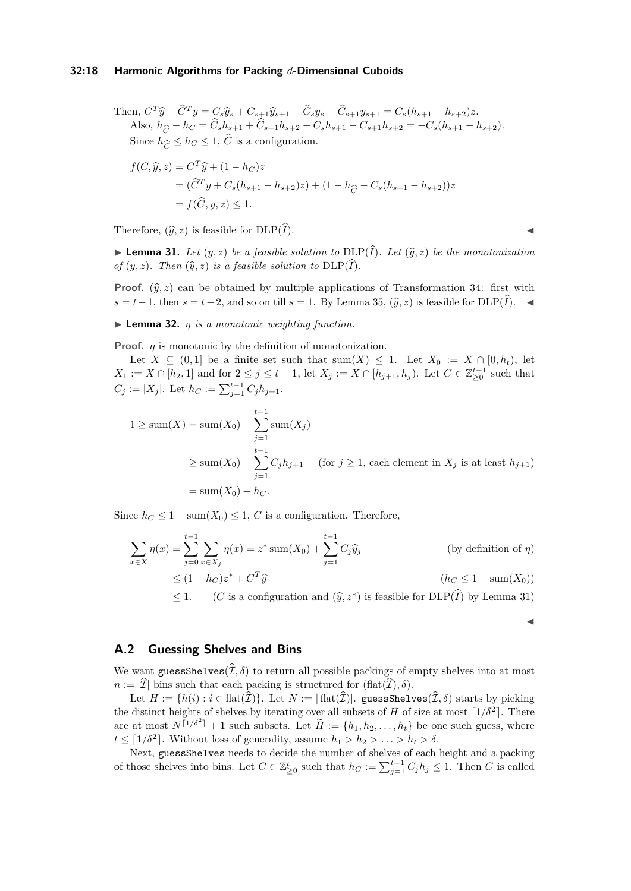#### **32:18 Harmonic Algorithms for Packing** *d***-Dimensional Cuboids**

Then,  $C^T\widehat{y} - \widehat{C}^T y = C_s \widehat{y}_s + C_{s+1} \widehat{y}_{s+1} - \widehat{C}_s y_s - \widehat{C}_{s+1} y_{s+1} = C_s (h_{s+1} - h_{s+2}) z$ Also,  $h_{\hat{G}} - h_C = \hat{C}_s h_{s+1} + \hat{C}_{s+1} h_{s+2} - C_s h_{s+1} - C_{s+1} h_{s+2} = -C_s (h_{s+1} - h_{s+2}).$ Since  $h_{\widehat{C}} \leq h_C \leq 1$ ,  $\widehat{C}$  is a configuration.

$$
f(C, \hat{y}, z) = C^T \hat{y} + (1 - h_C)z
$$
  
=  $(\hat{C}^T y + C_s (h_{s+1} - h_{s+2})z) + (1 - h_{\hat{C}} - C_s (h_{s+1} - h_{s+2}))z$   
=  $f(\hat{C}, y, z) \le 1$ .

Therefore,  $(\widehat{y}, z)$  is feasible for  $DLP(\widehat{I})$ .

 $\blacktriangleright$  **Lemma 31.** Let  $(y, z)$  be a feasible solution to  $\text{DLP}(\hat{I})$ . Let  $(\hat{y}, z)$  be the monotonization *of*  $(y, z)$ *. Then*  $(\widehat{y}, z)$  *is a feasible solution to*  $DLP(\widehat{I})$ *.* 

**Proof.**  $(\hat{y}, z)$  can be obtained by multiple applications of Transformation [34:](#page-16-14) first with *<sup>s</sup>* <sup>=</sup> *<sup>t</sup>*−1, then *<sup>s</sup>* <sup>=</sup> *<sup>t</sup>*−2, and so on till *<sup>s</sup>* = 1. By Lemma [35,](#page-16-15) (*y, z* <sup>b</sup> ) is feasible for DLP(*I*b). ◀

 $\blacktriangleright$  **Lemma 32.** *η is a monotonic weighting function.* 

**Proof.** *η* is monotonic by the definition of monotonization.

Let  $X \subseteq (0,1]$  be a finite set such that  $\text{sum}(X) \leq 1$ . Let  $X_0 := X \cap [0,h_t)$ , let *X*<sub>1</sub> := *X* ∩ [*h*<sub>2</sub>, 1] and for  $2 \leq j \leq t - 1$ , let *X<sub>j</sub>* := *X* ∩ [*h*<sub>j+1</sub>, *h*<sub>j</sub>). Let *C* ∈  $\mathbb{Z}_{\geq 0}^{t-1}$  such that  $C_j := |X_j|$ . Let  $h_C := \sum_{j=1}^{t-1} C_j h_{j+1}$ .

$$
1 \ge \text{sum}(X) = \text{sum}(X_0) + \sum_{j=1}^{t-1} \text{sum}(X_j)
$$
  
 
$$
\ge \text{sum}(X_0) + \sum_{j=1}^{t-1} C_j h_{j+1} \quad \text{(for } j \ge 1 \text{, each element in } X_j \text{ is at least } h_{j+1})
$$
  
=  $\text{sum}(X_0) + h_C.$ 

Since  $h_C \leq 1 - \text{sum}(X_0) \leq 1$ , *C* is a configuration. Therefore,

$$
\sum_{x \in X} \eta(x) = \sum_{j=0}^{t-1} \sum_{x \in X_j} \eta(x) = z^* \operatorname{sum}(X_0) + \sum_{j=1}^{t-1} C_j \widehat{y}_j
$$
 (by definition of  $\eta$ )  
\n
$$
\leq (1 - h_C)z^* + C^T \widehat{y}
$$
 (h<sub>C</sub>  $\leq$  1 – sum(*X*<sub>0</sub>))  
\n $\leq$  1. (*C* is a configuration and  $(\widehat{y}, z^*)$  is feasible for DLP( $\widehat{I}$ ) by Lemma 31)

◀

#### <span id="page-17-0"></span>**A.2 Guessing Shelves and Bins**

We want guessShelves( $\hat{\mathcal{I}}, \delta$ ) to return all possible packings of empty shelves into at most  $n := |\mathcal{I}|$  bins such that each packing is structured for  $(\text{flat}(\mathcal{I}), \delta)$ .

Let  $H := \{h(i) : i \in \text{flat}(\hat{\mathcal{I}})\}\)$ . Let  $N := |\text{flat}(\hat{\mathcal{I}})|$ . guessShelves( $\hat{\mathcal{I}}, \delta$ ) starts by picking the distinct heights of shelves by iterating over all subsets of *H* of size at most  $\lceil 1/\delta^2 \rceil$ . There are at most  $N^{\lceil 1/\delta^2 \rceil} + 1$  such subsets. Let  $\widetilde{H} := \{h_1, h_2, \ldots, h_t\}$  be one such guess, where  $t \leq \lceil 1/\delta^2 \rceil$ . Without loss of generality, assume  $h_1 > h_2 > \ldots > h_t > \delta$ .

Next, guessShelves needs to decide the number of shelves of each height and a packing of those shelves into bins. Let  $C \in \mathbb{Z}_{\geq 0}^t$  such that  $h_C := \sum_{j=1}^{t-1} C_j h_j \leq 1$ . Then *C* is called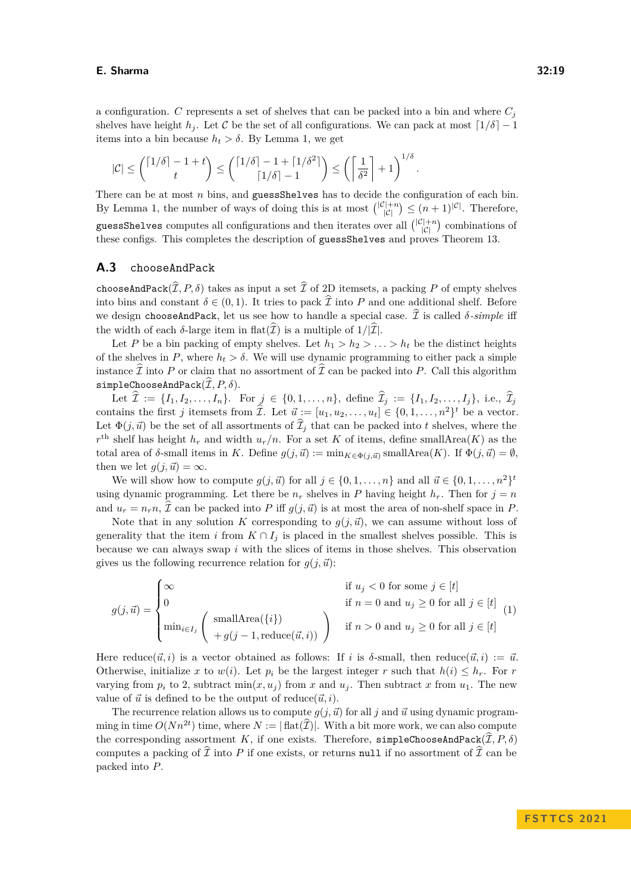a configuration. *C* represents a set of shelves that can be packed into a bin and where  $C_i$ shelves have height *h<sub>j</sub>*. Let C be the set of all configurations. We can pack at most  $\lceil 1/\delta \rceil - 1$ items into a bin because  $h_t > \delta$ . By Lemma [1,](#page-3-2) we get

$$
|\mathcal{C}| \le {\lceil 1/\delta \rceil - 1 + t \choose t} \le {\lceil 1/\delta \rceil - 1 + \lceil 1/\delta^2 \rceil \choose \lceil 1/\delta \rceil - 1} \le {\lceil \frac{1}{\delta^2} \rceil + 1}^{1/\delta}.
$$

There can be at most *n* bins, and guessShelves has to decide the configuration of each bin. By Lemma [1,](#page-3-2) the number of ways of doing this is at most  $\binom{|C|+n}{|C|}$  $\binom{2+n}{|C|} \leq (n+1)^{|C|}$ . Therefore, guessShelves computes all configurations and then iterates over all  $\binom{|{\cal C}|+n}{|{\cal C}|}$  $\binom{2+n}{|C|}$  combinations of these configs. This completes the description of guessShelves and proves Theorem [13.](#page-8-0)

#### <span id="page-18-0"></span>**A.3** chooseAndPack

chooseAndPack $(\widehat{\mathcal{I}}, P, \delta)$  takes as input a set  $\widehat{\mathcal{I}}$  of 2D itemsets, a packing *P* of empty shelves into bins and constant  $\delta \in (0,1)$ . It tries to pack  $\hat{\mathcal{I}}$  into *P* and one additional shelf. Before we design chooseAndPack, let us see how to handle a special case.  $\hat{\mathcal{I}}$  is called  $\delta$ -simple iff the width of each  $\delta$ -large item in flat $(\widehat{\mathcal{I}})$  is a multiple of  $1/|\widehat{\mathcal{I}}|$ .

Let *P* be a bin packing of empty shelves. Let  $h_1 > h_2 > \ldots > h_t$  be the distinct heights of the shelves in *P*, where  $h_t > \delta$ . We will use dynamic programming to either pack a simple instance  $\mathcal I$  into  $P$  or claim that no assortment of  $\mathcal I$  can be packed into  $P$ . Call this algorithm  $\texttt{simpleChooseAndPack}(\widehat{\mathcal{I}}, P, \delta).$ 

Let  $\hat{\mathcal{I}} := \{I_1, I_2, \ldots, I_n\}$ . For  $j \in \{0, 1, \ldots, n\}$ , define  $\hat{\mathcal{I}}_j := \{I_1, I_2, \ldots, I_j\}$ , i.e.,  $\hat{\mathcal{I}}_j$ contains the first *j* itemsets from  $\hat{\mathcal{I}}$ . Let  $\vec{u} := [u_1, u_2, \dots, u_t] \in \{0, 1, \dots, n^2\}^t$  be a vector. Let  $\Phi(j, \vec{u})$  be the set of all assortments of  $\widehat{\mathcal{I}}_j$  that can be packed into *t* shelves, where the  $r<sup>th</sup>$  shelf has height  $h_r$  and width  $u_r/n$ . For a set *K* of items, define smallArea(*K*) as the total area of *δ*-small items in *K*. Define  $g(j, \vec{u}) := \min_{K \in \Phi(j, \vec{u})} \text{smallArea}(K)$ . If  $\Phi(j, \vec{u}) = \emptyset$ , then we let  $g(j, \vec{u}) = \infty$ .

We will show how to compute  $g(j, \vec{u})$  for all  $j \in \{0, 1, \ldots, n\}$  and all  $\vec{u} \in \{0, 1, \ldots, n^2\}^t$ using dynamic programming. Let there be  $n_r$  shelves in *P* having height  $h_r$ . Then for  $j = n$ and  $u_r = n_r n$ ,  $\hat{\mathcal{I}}$  can be packed into *P* iff  $g(j, \vec{u})$  is at most the area of non-shelf space in *P*.

Note that in any solution *K* corresponding to  $g(j, \vec{u})$ , we can assume without loss of generality that the item *i* from  $K \cap I_j$  is placed in the smallest shelves possible. This is because we can always swap *i* with the slices of items in those shelves. This observation gives us the following recurrence relation for  $g(j, \vec{u})$ :

$$
g(j,\vec{u}) = \begin{cases} \infty & \text{if } u_j < 0 \text{ for some } j \in [t] \\ 0 & \text{if } n = 0 \text{ and } u_j \ge 0 \text{ for all } j \in [t] \\ \min_{i \in I_j} \left( \begin{array}{c} \text{smallArea}(\{i\}) \\ +g(j-1, \text{reduce}(\vec{u}, i)) \end{array} \right) & \text{if } n > 0 \text{ and } u_j \ge 0 \text{ for all } j \in [t] \end{cases} (1)
$$

Here reduce( $\vec{u}, i$ ) is a vector obtained as follows: If *i* is  $\delta$ -small, then reduce( $\vec{u}, i$ ) :=  $\vec{u}$ . Otherwise, initialize x to  $w(i)$ . Let  $p_i$  be the largest integer r such that  $h(i) \leq h_r$ . For r varying from  $p_i$  to 2, subtract  $\min(x, u_j)$  from x and  $u_j$ . Then subtract x from  $u_1$ . The new value of  $\vec{u}$  is defined to be the output of reduce( $\vec{u}, i$ ).

The recurrence relation allows us to compute  $g(j, \vec{u})$  for all *j* and  $\vec{u}$  using dynamic programming in time  $O(Nn^{2t})$  time, where  $N := |\text{flat}(\hat{\mathcal{I}})|$ . With a bit more work, we can also compute the corresponding assortment *K*, if one exists. Therefore, simpleChooseAndPack( $\hat{\mathcal{I}}, P, \delta$ ) computes a packing of  $\hat{\mathcal{I}}$  into *P* if one exists, or returns null if no assortment of  $\hat{\mathcal{I}}$  can be packed into *P*.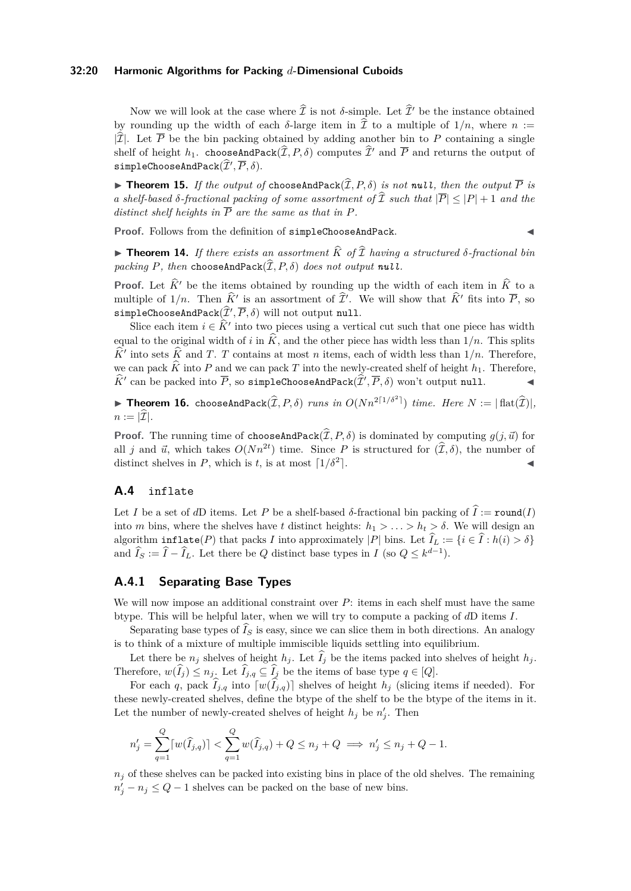#### **32:20 Harmonic Algorithms for Packing** *d***-Dimensional Cuboids**

Now we will look at the case where  $\hat{\mathcal{I}}$  is not  $\delta$ -simple. Let  $\hat{\mathcal{I}}'$  be the instance obtained by rounding up the width of each  $\delta$ -large item in  $\hat{\mathcal{I}}$  to a multiple of  $1/n$ , where  $n :=$  $|\hat{\mathcal{I}}|$ . Let  $\overline{P}$  be the bin packing obtained by adding another bin to P containing a single shelf of height  $h_1$ . chooseAndPack $(\widehat{\mathcal{I}}, P, \delta)$  computes  $\widehat{\mathcal{I}}'$  and  $\overline{P}$  and returns the output of  $\texttt{simpleChooseAndPack}(\widehat{\mathcal{I}}', \overline{P}, \delta).$ 

 $\blacktriangleright$  **Theorem 15.** *If the output of chooseAndPack* $(\widehat{\mathcal{I}}, P, \delta)$  *is not null, then the output*  $\overline{P}$  *is a shelf-based*  $\delta$ -fractional packing of some assortment of  $\widehat{\mathcal{I}}$  such that  $|\overline{P}| \leq |P| + 1$  and the *distinct shelf heights in*  $\overline{P}$  *are the same as that in*  $P$ *.* 

**Proof.** Follows from the definition of simpleChooseAndPack.

 $\triangleright$  **Theorem 14.** If there exists an assortment  $\widehat{K}$  of  $\widehat{T}$  having a structured  $\delta$ -fractional bin *packing*  $P$ *, then* chooseAndPack $(\hat{\mathcal{I}}, P, \delta)$  *does not output null.* 

**Proof.** Let  $\hat{K}$ ' be the items obtained by rounding up the width of each item in  $\hat{K}$  to a multiple of  $1/n$ . Then  $\hat{K}'$  is an assortment of  $\hat{\mathcal{I}}'$ . We will show that  $\hat{K}'$  fits into  $\overline{P}$ , so  $\texttt{simpleChooseAndPack}(\hat{\mathcal{I}}', \overline{P}, \delta) \text{ will not output null.}$ 

Slice each item  $i \in \hat{K}'$  into two pieces using a vertical cut such that one piece has width equal to the original width of *i* in  $\widehat{K}$ , and the other piece has width less than  $1/n$ . This splits  $\hat{K}$ <sup>*i*</sup> into sets  $\hat{K}$  and *T*. *T* contains at most *n* items, each of width less than 1/*n*. Therefore, we can pack  $\widehat{K}$  into *P* and we can pack *T* into the newly-created shelf of height  $h_1$ . Therefore,  $\widehat{K}'$  can be packed into  $\overline{P}$ , so simpleChooseAndPack $(\widehat{\mathcal{I}}', \overline{P}, \delta)$  won't output null.

**Finds 16.** chooseAndPack $(\widehat{\mathcal{I}}, P, \delta)$  *runs in*  $O(Nn^{2\lceil 1/\delta^2 \rceil})$  *time. Here*  $N := |\text{flat}(\widehat{\mathcal{I}})|$ *,*  $n := |\mathcal{I}|$ .

**Proof.** The running time of chooseAndPack $(\hat{\mathcal{I}}, P, \delta)$  is dominated by computing  $g(j, \vec{u})$  for all *j* and  $\vec{u}$ , which takes  $O(Nn^{2t})$  time. Since *P* is structured for  $(\hat{\mathcal{I}}, \delta)$ , the number of distinct shelves in *P*, which is *t*, is at most  $\lceil 1/\delta^2 \rceil$ .  $\mathbb{R}$ .  $\mathbb{R}$ 

## <span id="page-19-0"></span>**A.4** inflate

Let *I* be a set of *d*D items. Let *P* be a shelf-based *δ*-fractional bin packing of  $\hat{I} := \text{round}(I)$ into *m* bins, where the shelves have *t* distinct heights:  $h_1 > \ldots > h_t > \delta$ . We will design an algorithm  $\inf \text{late}(P)$  that packs *I* into approximately |*P*| bins. Let  $\hat{I}_L := \{i \in \hat{I} : h(i) > \delta\}$ and  $\widehat{I}_S := \widehat{I} - \widehat{I}_L$ . Let there be *Q* distinct base types in *I* (so  $Q \leq k^{d-1}$ ).

## <span id="page-19-1"></span>**A.4.1 Separating Base Types**

We will now impose an additional constraint over *P*: items in each shelf must have the same btype. This will be helpful later, when we will try to compute a packing of *d*D items *I*.

Separating base types of  $\widehat{I}_S$  is easy, since we can slice them in both directions. An analogy is to think of a mixture of multiple immiscible liquids settling into equilibrium.

Let there be  $n_j$  shelves of height  $h_j$ . Let  $\widehat{I}_j$  be the items packed into shelves of height  $h_j$ . Therefore,  $w(\tilde{I}_j) \leq n_j$ . Let  $\tilde{I}_{j,q} \subseteq \tilde{I}_j$  be the items of base type  $q \in [Q]$ .

For each *q*, pack  $I_{j,q}$  into  $[w(I_{j,q})]$  shelves of height  $h_j$  (slicing items if needed). For these newly-created shelves, define the btype of the shelf to be the btype of the items in it. Let the number of newly-created shelves of height  $h_j$  be  $n'_j$ . Then

$$
n'_{j} = \sum_{q=1}^{Q} \lceil w(\widehat{I}_{j,q}) \rceil < \sum_{q=1}^{Q} w(\widehat{I}_{j,q}) + Q \le n_{j} + Q \implies n'_{j} \le n_{j} + Q - 1.
$$

 $n<sub>j</sub>$  of these shelves can be packed into existing bins in place of the old shelves. The remaining  $n'_j - n_j \leq Q - 1$  shelves can be packed on the base of new bins.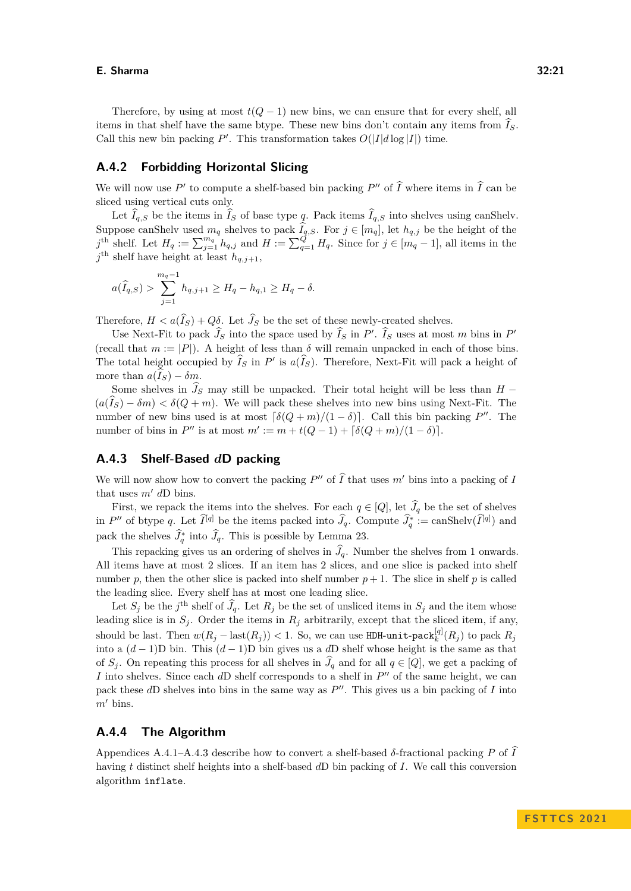Therefore, by using at most  $t(Q-1)$  new bins, we can ensure that for every shelf, all items in that shelf have the same btype. These new bins don't contain any items from  $\widehat{I}_S$ . Call this new bin packing  $P'$ . This transformation takes  $O(|I|d \log |I|)$  time.

## **A.4.2 Forbidding Horizontal Slicing**

We will now use  $P'$  to compute a shelf-based bin packing  $P''$  of  $\widehat{I}$  where items in  $\widehat{I}$  can be sliced using vertical cuts only.

Let  $\hat{I}_{q,S}$  be the items in  $\hat{I}_S$  of base type *q*. Pack items  $\hat{I}_{q,S}$  into shelves using [canShelv.](#page-10-2) Suppose canShelv used  $m_q$  shelves to pack  $I_{q,S}$ . For  $j \in [m_q]$ , let  $h_{q,j}$  be the height of the  $j^{\text{th}}$  shelf. Let  $H_q := \sum_{j=1}^{m_q} h_{q,j}$  and  $H := \sum_{q=1}^{Q'} H_q$ . Since for  $j \in [m_q - 1]$ , all items in the  $j^{\text{th}}$  shelf have height at least  $h_{q,j+1}$ ,

$$
a(\widehat{I}_{q,S}) > \sum_{j=1}^{m_q - 1} h_{q,j+1} \ge H_q - h_{q,1} \ge H_q - \delta.
$$

Therefore,  $H < a(\hat{I}_S) + Q\delta$ . Let  $\hat{J}_S$  be the set of these newly-created shelves.

Use Next-Fit to pack  $\widehat{J}_S$  into the space used by  $\widehat{I}_S$  in *P'*.  $\widehat{I}_S$  uses at most *m* bins in *P'* (recall that  $m := |P|$ ). A height of less than  $\delta$  will remain unpacked in each of those bins. The total height occupied by  $\hat{I}_S$  in  $P'$  is  $a(\hat{I}_S)$ . Therefore, Next-Fit will pack a height of more than  $a(\widehat{I}_S) - \delta m$ .

Some shelves in  $\hat{J}_S$  may still be unpacked. Their total height will be less than *H* −  $(a(\widehat{I}_S) - \delta m) < \delta(Q+m)$ . We will pack these shelves into new bins using Next-Fit. The number of new bins used is at most  $\lceil \delta(Q+m)/(1-\delta) \rceil$ . Call this bin packing *P*<sup>*n*</sup>. The number of bins in  $P''$  is at most  $m' := m + t(Q - 1) + [\delta(Q + m)/(1 - \delta)].$ 

## <span id="page-20-0"></span>**A.4.3 Shelf-Based** *d***D packing**

We will now show how to convert the packing  $P''$  of  $\widehat{I}$  that uses  $m'$  bins into a packing of *I* that uses *m*′ *d*D bins.

First, we repack the items into the shelves. For each  $q \in [Q]$ , let  $\widehat{J}_q$  be the set of shelves in *P*<sup> $\prime\prime$ </sup> of btype *q*. Let  $\widetilde{I}^{[q]}$  be the items packed into  $\widehat{J}_q$ . Compute  $\widehat{J}_q^* := \text{canShelv}(\widetilde{I}^{[q]})$  and pack the shelves  $\widehat{J}_q^*$  into  $\widehat{J}_q$ . This is possible by Lemma [23.](#page-11-1)

This repacking gives us an ordering of shelves in  $\hat{J}_q$ . Number the shelves from 1 onwards. All items have at most 2 slices. If an item has 2 slices, and one slice is packed into shelf number p, then the other slice is packed into shelf number  $p + 1$ . The slice in shelf p is called the leading slice. Every shelf has at most one leading slice.

Let  $S_j$  be the *j*<sup>th</sup> shelf of  $\widehat{J}_q$ . Let  $R_j$  be the set of unsliced items in  $S_j$  and the item whose leading slice is in  $S_j$ . Order the items in  $R_j$  arbitrarily, except that the sliced item, if any, should be last. Then  $w(R_j - \text{last}(R_j)) < 1$ . So, we can use HDH-[unit](#page-4-3)-pack $_k^{[q]}(R_j)$  to pack  $R_j$ into a (*d* − 1)D bin. This (*d* − 1)D bin gives us a *d*D shelf whose height is the same as that of *S*<sup>*j*</sup>. On repeating this process for all shelves in  $\hat{J}_q$  and for all  $q \in [Q]$ , we get a packing of *I* into shelves. Since each *dD* shelf corresponds to a shelf in  $P''$  of the same height, we can pack these dD shelves into bins in the same way as  $P''$ . This gives us a bin packing of *I* into  $m'$  bins.

#### **A.4.4 The Algorithm**

Appendices [A.4.1–](#page-19-1)[A.4.3](#page-20-0) describe how to convert a shelf-based  $\delta$ -fractional packing *P* of  $\hat{I}$ having *t* distinct shelf heights into a shelf-based *d*D bin packing of *I*. We call this conversion algorithm inflate.